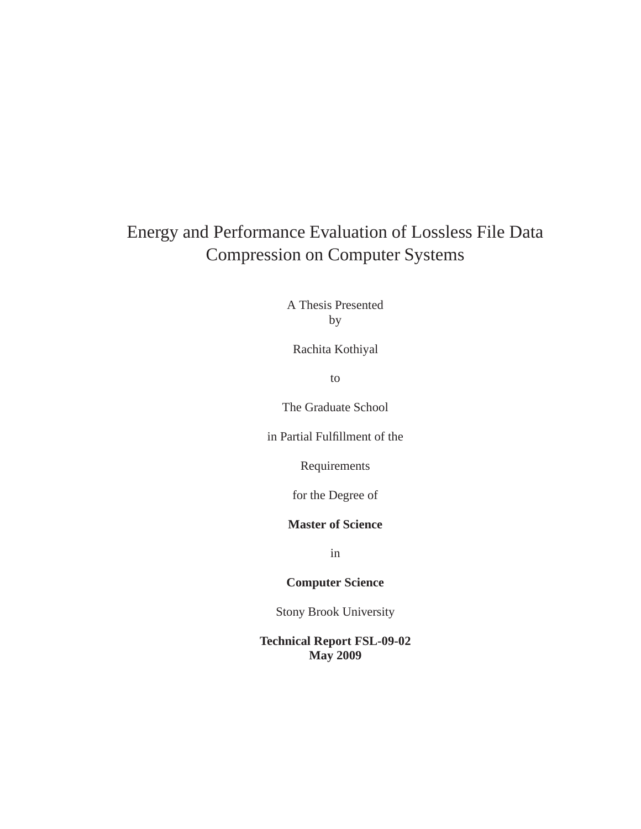### Energy and Performance Evaluation of Lossless File Data Compression on Computer Systems

A Thesis Presented by

Rachita Kothiyal

to

The Graduate School

in Partial Fulfillment of the

Requirements

for the Degree of

#### **Master of Science**

in

#### **Computer Science**

Stony Brook University

**Technical Report FSL-09-02 May 2009**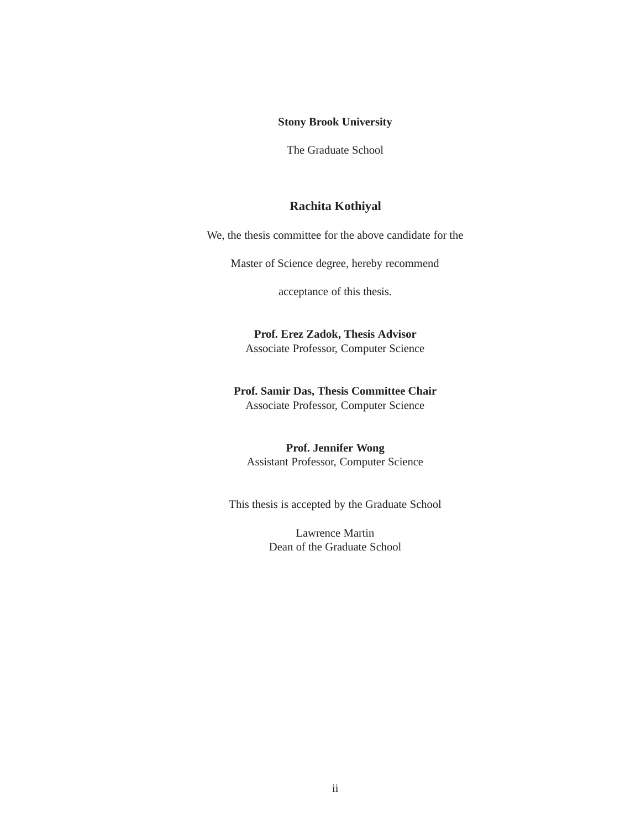#### **Stony Brook University**

The Graduate School

#### **Rachita Kothiyal**

We, the thesis committee for the above candidate for the

Master of Science degree, hereby recommend

acceptance of this thesis.

**Prof. Erez Zadok, Thesis Advisor** Associate Professor, Computer Science

### **Prof. Samir Das, Thesis Committee Chair**

Associate Professor, Computer Science

#### **Prof. Jennifer Wong**

Assistant Professor, Computer Science

This thesis is accepted by the Graduate School

Lawrence Martin Dean of the Graduate School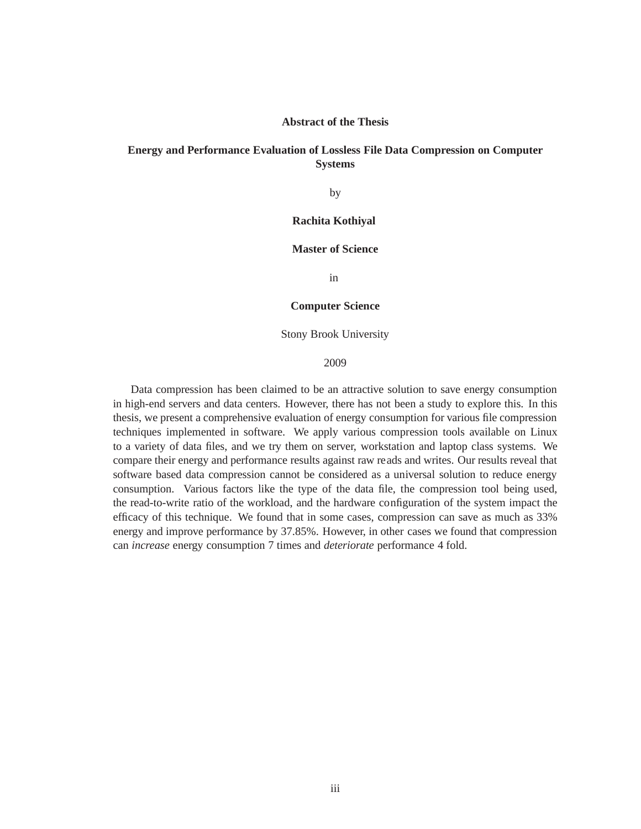#### **Abstract of the Thesis**

#### **Energy and Performance Evaluation of Lossless File Data Compression on Computer Systems**

by

#### **Rachita Kothiyal**

#### **Master of Science**

in

#### **Computer Science**

Stony Brook University

#### 2009

Data compression has been claimed to be an attractive solution to save energy consumption in high-end servers and data centers. However, there has not been a study to explore this. In this thesis, we present a comprehensive evaluation of energy consumption for various file compression techniques implemented in software. We apply various compression tools available on Linux to a variety of data files, and we try them on server, workstation and laptop class systems. We compare their energy and performance results against raw reads and writes. Our results reveal that software based data compression cannot be considered as a universal solution to reduce energy consumption. Various factors like the type of the data file, the compression tool being used, the read-to-write ratio of the workload, and the hardware configuration of the system impact the efficacy of this technique. We found that in some cases, compression can save as much as 33% energy and improve performance by 37.85%. However, in other cases we found that compression can *increase* energy consumption 7 times and *deteriorate* performance 4 fold.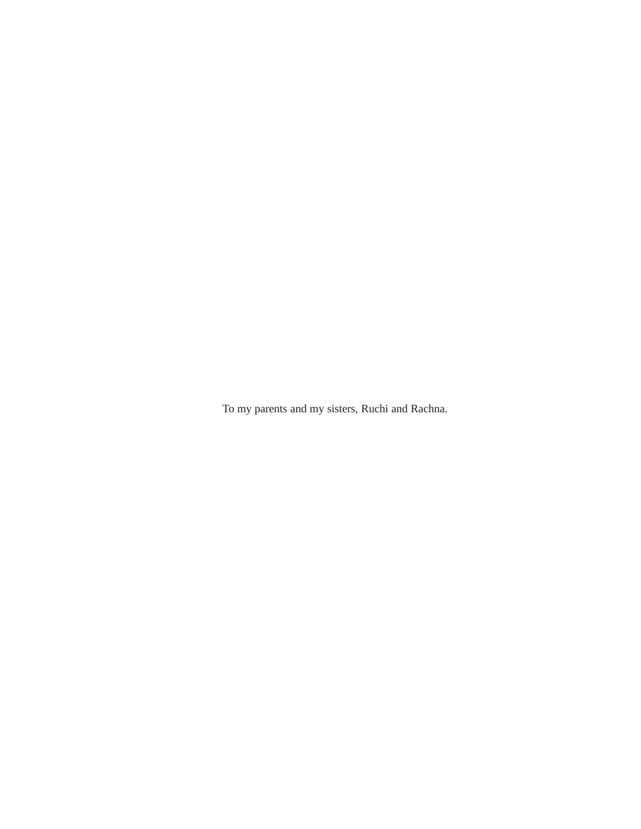To my parents and my sisters, Ruchi and Rachna.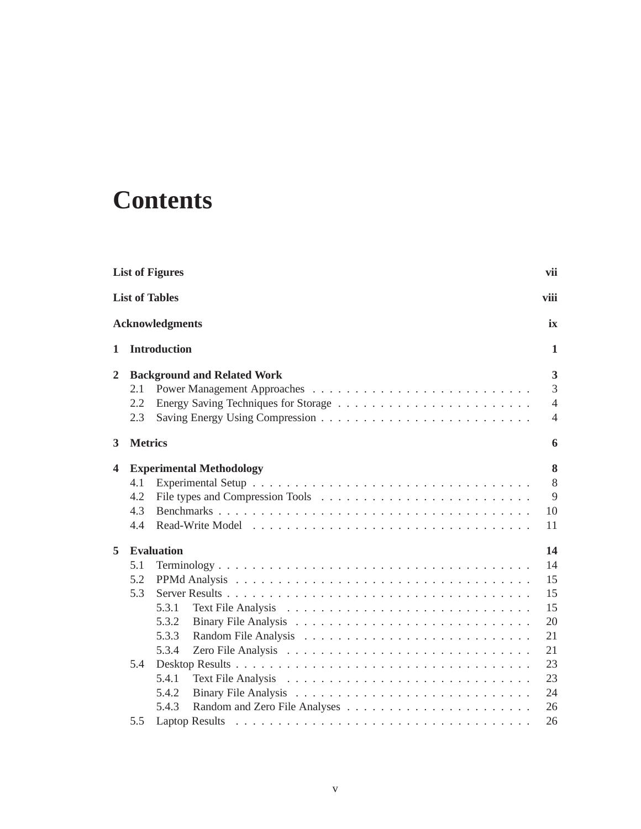# **Contents**

|                | <b>List of Figures</b>   |                                                                                  |                                                                      |
|----------------|--------------------------|----------------------------------------------------------------------------------|----------------------------------------------------------------------|
|                | <b>List of Tables</b>    |                                                                                  | viii                                                                 |
|                |                          | <b>Acknowledgments</b>                                                           | ix                                                                   |
| 1              |                          | <b>Introduction</b>                                                              | 1                                                                    |
| $\overline{2}$ | 2.1<br>2.2<br>2.3        | <b>Background and Related Work</b>                                               | 3<br>3<br>$\overline{4}$<br>$\overline{4}$                           |
| 3              | <b>Metrics</b>           |                                                                                  | 6                                                                    |
| 4              | 4.1<br>4.2<br>4.3<br>4.4 | <b>Experimental Methodology</b>                                                  | 8<br>8<br>9<br>10<br>11                                              |
| 5              | 5.1<br>5.2<br>5.3<br>5.4 | <b>Evaluation</b><br>5.3.1<br>5.3.2<br>5.3.3<br>5.3.4<br>5.4.1<br>5.4.2<br>5.4.3 | 14<br>14<br>15<br>15<br>15<br>20<br>21<br>21<br>23<br>23<br>24<br>26 |
|                | 5.5                      |                                                                                  | 26                                                                   |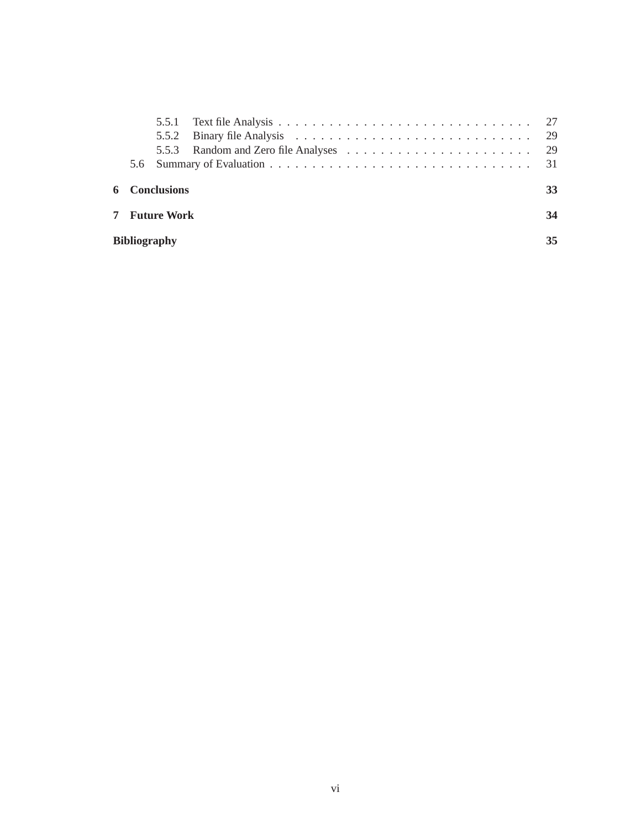| <b>Bibliography</b> |                      | 35 |
|---------------------|----------------------|----|
|                     | <b>7</b> Future Work | 34 |
|                     | <b>6</b> Conclusions | 33 |
|                     |                      |    |
|                     |                      |    |
|                     |                      |    |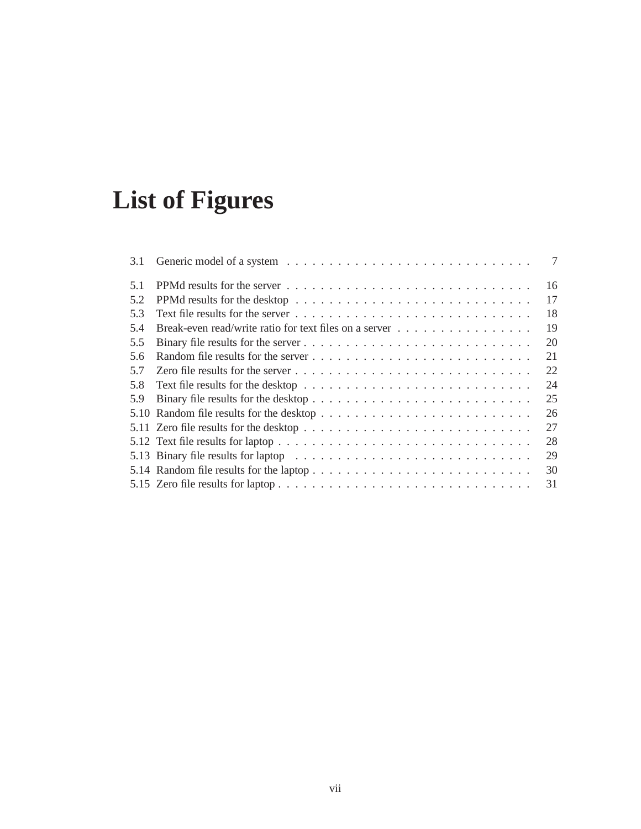# **List of Figures**

| 3.1 | 7  |
|-----|----|
| 5.1 | 16 |
| 5.2 | 17 |
| 5.3 | 18 |
| 5.4 | 19 |
| 5.5 | 20 |
| 5.6 | 21 |
| 5.7 | 22 |
| 5.8 | 24 |
| 5.9 | 25 |
|     | 26 |
|     | 27 |
|     | 28 |
|     | 29 |
|     | 30 |
|     | 31 |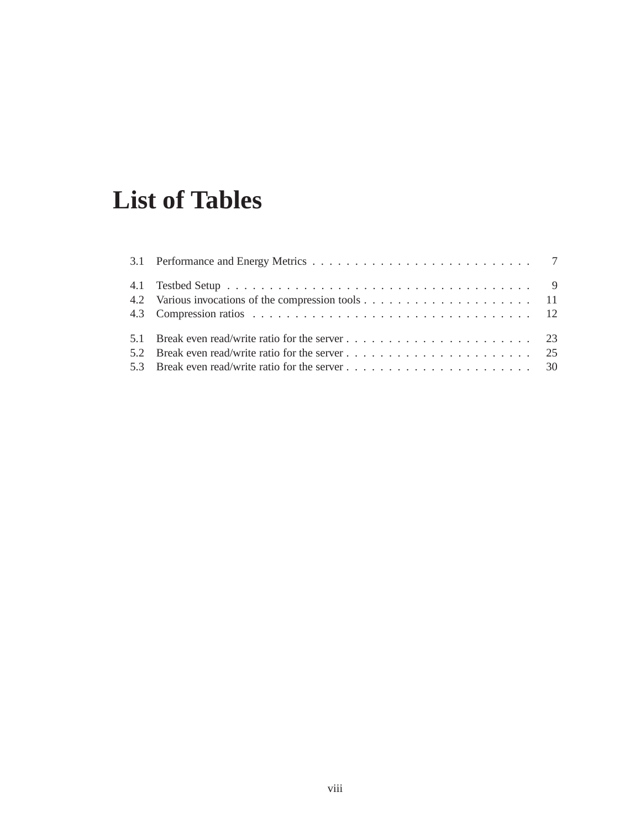# **List of Tables**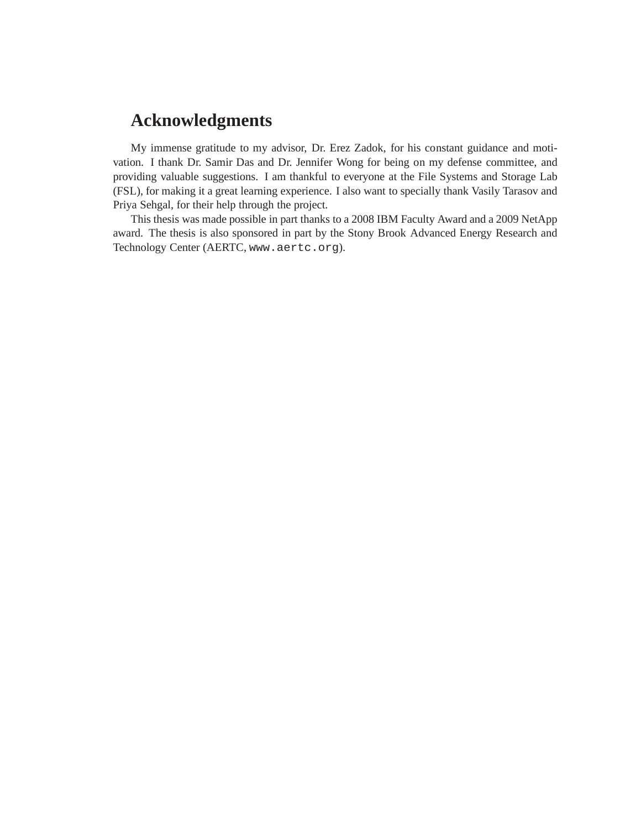### **Acknowledgments**

My immense gratitude to my advisor, Dr. Erez Zadok, for his constant guidance and motivation. I thank Dr. Samir Das and Dr. Jennifer Wong for being on my defense committee, and providing valuable suggestions. I am thankful to everyone at the File Systems and Storage Lab (FSL), for making it a great learning experience. I also want to specially thank Vasily Tarasov and Priya Sehgal, for their help through the project.

This thesis was made possible in part thanks to a 2008 IBM Faculty Award and a 2009 NetApp award. The thesis is also sponsored in part by the Stony Brook Advanced Energy Research and Technology Center (AERTC, www.aertc.org).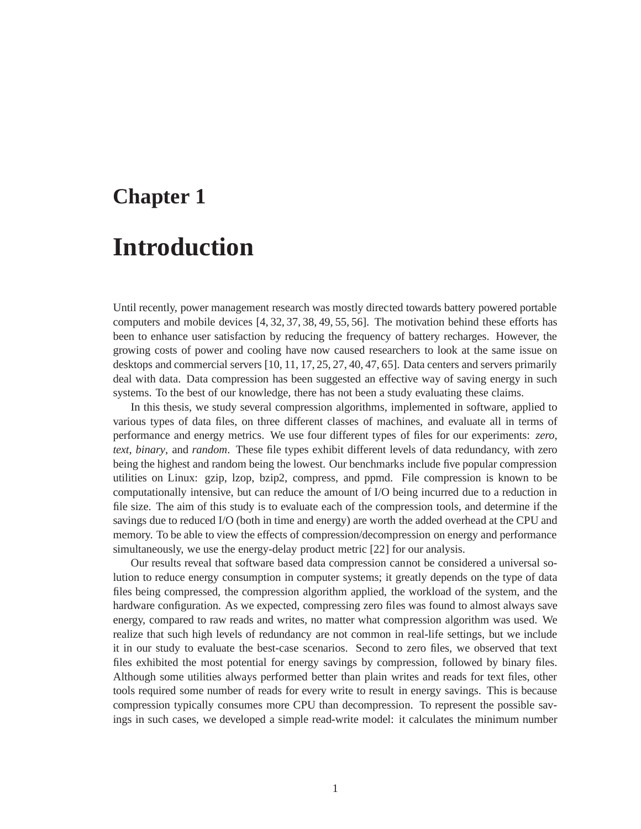# **Chapter 1**

# **Introduction**

Until recently, power management research was mostly directed towards battery powered portable computers and mobile devices [4, 32, 37, 38, 49, 55, 56]. The motivation behind these efforts has been to enhance user satisfaction by reducing the frequency of battery recharges. However, the growing costs of power and cooling have now caused researchers to look at the same issue on desktops and commercial servers [10, 11, 17, 25, 27, 40, 47, 65]. Data centers and servers primarily deal with data. Data compression has been suggested an effective way of saving energy in such systems. To the best of our knowledge, there has not been a study evaluating these claims.

In this thesis, we study several compression algorithms, implemented in software, applied to various types of data files, on three different classes of machines, and evaluate all in terms of performance and energy metrics. We use four different types of files for our experiments: *zero*, *text*, *binary*, and *random*. These file types exhibit different levels of data redundancy, with zero being the highest and random being the lowest. Our benchmarks include five popular compression utilities on Linux: gzip, lzop, bzip2, compress, and ppmd. File compression is known to be computationally intensive, but can reduce the amount of I/O being incurred due to a reduction in file size. The aim of this study is to evaluate each of the compression tools, and determine if the savings due to reduced I/O (both in time and energy) are worth the added overhead at the CPU and memory. To be able to view the effects of compression/decompression on energy and performance simultaneously, we use the energy-delay product metric [22] for our analysis.

Our results reveal that software based data compression cannot be considered a universal solution to reduce energy consumption in computer systems; it greatly depends on the type of data files being compressed, the compression algorithm applied, the workload of the system, and the hardware configuration. As we expected, compressing zero files was found to almost always save energy, compared to raw reads and writes, no matter what compression algorithm was used. We realize that such high levels of redundancy are not common in real-life settings, but we include it in our study to evaluate the best-case scenarios. Second to zero files, we observed that text files exhibited the most potential for energy savings by compression, followed by binary files. Although some utilities always performed better than plain writes and reads for text files, other tools required some number of reads for every write to result in energy savings. This is because compression typically consumes more CPU than decompression. To represent the possible savings in such cases, we developed a simple read-write model: it calculates the minimum number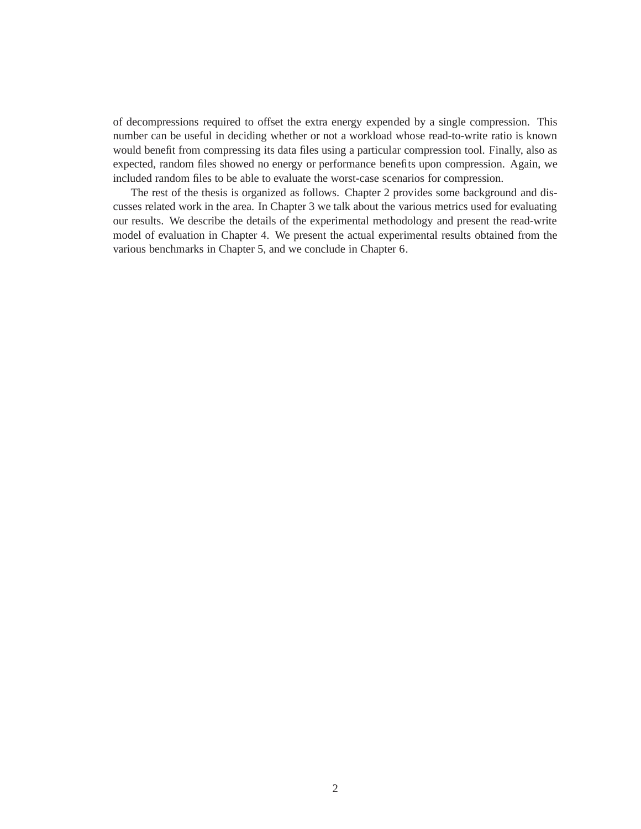of decompressions required to offset the extra energy expended by a single compression. This number can be useful in deciding whether or not a workload whose read-to-write ratio is known would benefit from compressing its data files using a particular compression tool. Finally, also as expected, random files showed no energy or performance benefits upon compression. Again, we included random files to be able to evaluate the worst-case scenarios for compression.

The rest of the thesis is organized as follows. Chapter 2 provides some background and discusses related work in the area. In Chapter 3 we talk about the various metrics used for evaluating our results. We describe the details of the experimental methodology and present the read-write model of evaluation in Chapter 4. We present the actual experimental results obtained from the various benchmarks in Chapter 5, and we conclude in Chapter 6.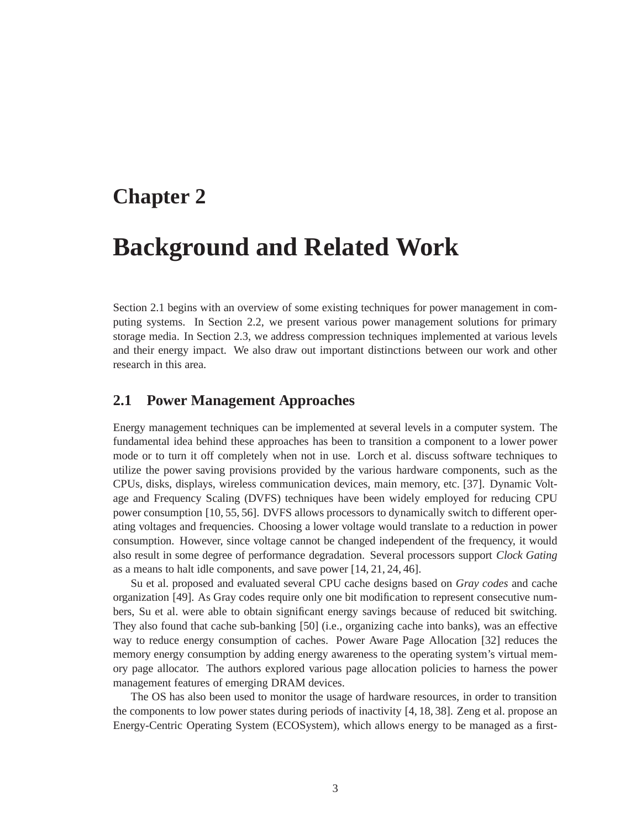### **Chapter 2**

### **Background and Related Work**

Section 2.1 begins with an overview of some existing techniques for power management in computing systems. In Section 2.2, we present various power management solutions for primary storage media. In Section 2.3, we address compression techniques implemented at various levels and their energy impact. We also draw out important distinctions between our work and other research in this area.

#### **2.1 Power Management Approaches**

Energy management techniques can be implemented at several levels in a computer system. The fundamental idea behind these approaches has been to transition a component to a lower power mode or to turn it off completely when not in use. Lorch et al. discuss software techniques to utilize the power saving provisions provided by the various hardware components, such as the CPUs, disks, displays, wireless communication devices, main memory, etc. [37]. Dynamic Voltage and Frequency Scaling (DVFS) techniques have been widely employed for reducing CPU power consumption [10, 55, 56]. DVFS allows processors to dynamically switch to different operating voltages and frequencies. Choosing a lower voltage would translate to a reduction in power consumption. However, since voltage cannot be changed independent of the frequency, it would also result in some degree of performance degradation. Several processors support *Clock Gating* as a means to halt idle components, and save power [14, 21, 24, 46].

Su et al. proposed and evaluated several CPU cache designs based on *Gray codes* and cache organization [49]. As Gray codes require only one bit modification to represent consecutive numbers, Su et al. were able to obtain significant energy savings because of reduced bit switching. They also found that cache sub-banking [50] (i.e., organizing cache into banks), was an effective way to reduce energy consumption of caches. Power Aware Page Allocation [32] reduces the memory energy consumption by adding energy awareness to the operating system's virtual memory page allocator. The authors explored various page allocation policies to harness the power management features of emerging DRAM devices.

The OS has also been used to monitor the usage of hardware resources, in order to transition the components to low power states during periods of inactivity [4, 18, 38]. Zeng et al. propose an Energy-Centric Operating System (ECOSystem), which allows energy to be managed as a first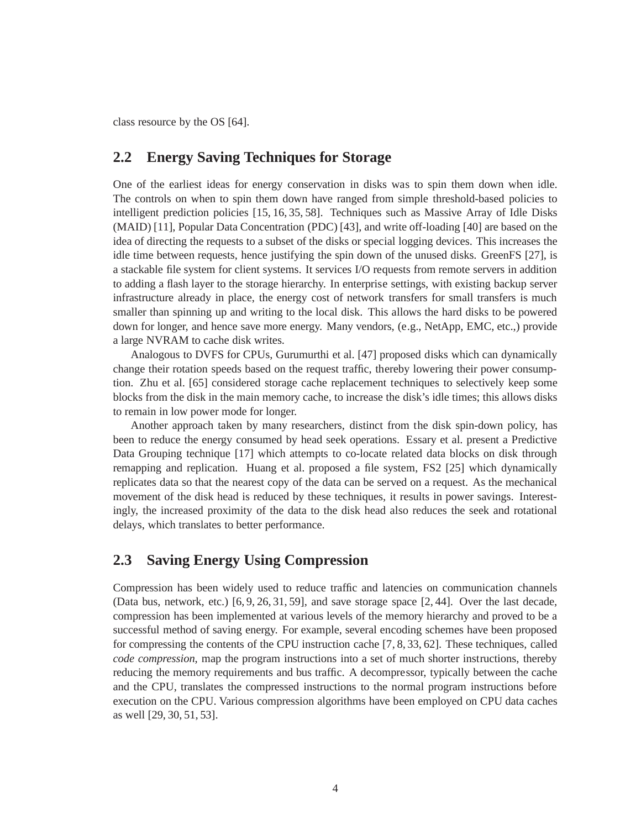class resource by the OS [64].

#### **2.2 Energy Saving Techniques for Storage**

One of the earliest ideas for energy conservation in disks was to spin them down when idle. The controls on when to spin them down have ranged from simple threshold-based policies to intelligent prediction policies [15, 16, 35, 58]. Techniques such as Massive Array of Idle Disks (MAID) [11], Popular Data Concentration (PDC) [43], and write off-loading [40] are based on the idea of directing the requests to a subset of the disks or special logging devices. This increases the idle time between requests, hence justifying the spin down of the unused disks. GreenFS [27], is a stackable file system for client systems. It services I/O requests from remote servers in addition to adding a flash layer to the storage hierarchy. In enterprise settings, with existing backup server infrastructure already in place, the energy cost of network transfers for small transfers is much smaller than spinning up and writing to the local disk. This allows the hard disks to be powered down for longer, and hence save more energy. Many vendors, (e.g., NetApp, EMC, etc.,) provide a large NVRAM to cache disk writes.

Analogous to DVFS for CPUs, Gurumurthi et al. [47] proposed disks which can dynamically change their rotation speeds based on the request traffic, thereby lowering their power consumption. Zhu et al. [65] considered storage cache replacement techniques to selectively keep some blocks from the disk in the main memory cache, to increase the disk's idle times; this allows disks to remain in low power mode for longer.

Another approach taken by many researchers, distinct from the disk spin-down policy, has been to reduce the energy consumed by head seek operations. Essary et al. present a Predictive Data Grouping technique [17] which attempts to co-locate related data blocks on disk through remapping and replication. Huang et al. proposed a file system, FS2 [25] which dynamically replicates data so that the nearest copy of the data can be served on a request. As the mechanical movement of the disk head is reduced by these techniques, it results in power savings. Interestingly, the increased proximity of the data to the disk head also reduces the seek and rotational delays, which translates to better performance.

#### **2.3 Saving Energy Using Compression**

Compression has been widely used to reduce traffic and latencies on communication channels (Data bus, network, etc.) [6, 9, 26, 31, 59], and save storage space [2, 44]. Over the last decade, compression has been implemented at various levels of the memory hierarchy and proved to be a successful method of saving energy. For example, several encoding schemes have been proposed for compressing the contents of the CPU instruction cache [7, 8, 33, 62]. These techniques, called *code compression*, map the program instructions into a set of much shorter instructions, thereby reducing the memory requirements and bus traffic. A decompressor, typically between the cache and the CPU, translates the compressed instructions to the normal program instructions before execution on the CPU. Various compression algorithms have been employed on CPU data caches as well [29, 30, 51, 53].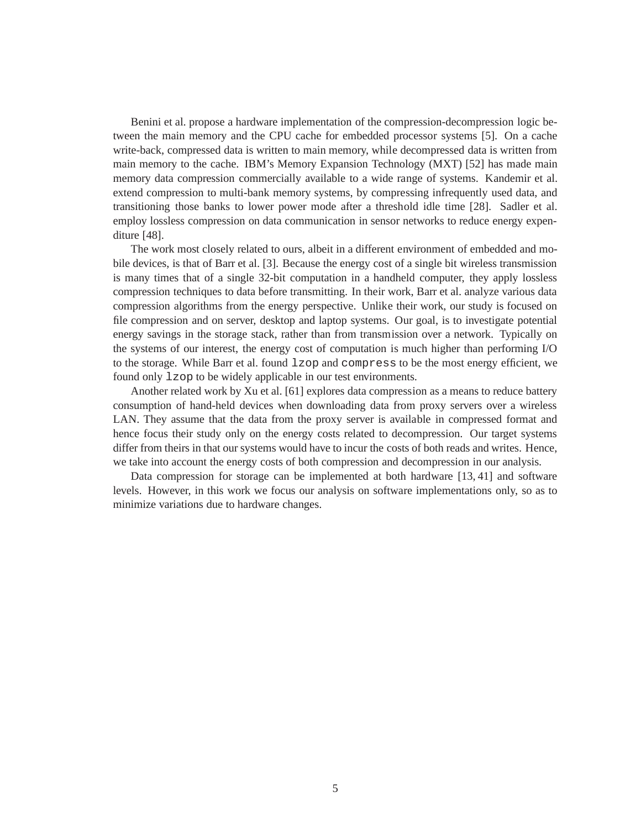Benini et al. propose a hardware implementation of the compression-decompression logic between the main memory and the CPU cache for embedded processor systems [5]. On a cache write-back, compressed data is written to main memory, while decompressed data is written from main memory to the cache. IBM's Memory Expansion Technology (MXT) [52] has made main memory data compression commercially available to a wide range of systems. Kandemir et al. extend compression to multi-bank memory systems, by compressing infrequently used data, and transitioning those banks to lower power mode after a threshold idle time [28]. Sadler et al. employ lossless compression on data communication in sensor networks to reduce energy expenditure [48].

The work most closely related to ours, albeit in a different environment of embedded and mobile devices, is that of Barr et al. [3]. Because the energy cost of a single bit wireless transmission is many times that of a single 32-bit computation in a handheld computer, they apply lossless compression techniques to data before transmitting. In their work, Barr et al. analyze various data compression algorithms from the energy perspective. Unlike their work, our study is focused on file compression and on server, desktop and laptop systems. Our goal, is to investigate potential energy savings in the storage stack, rather than from transmission over a network. Typically on the systems of our interest, the energy cost of computation is much higher than performing I/O to the storage. While Barr et al. found lzop and compress to be the most energy efficient, we found only lzop to be widely applicable in our test environments.

Another related work by Xu et al. [61] explores data compression as a means to reduce battery consumption of hand-held devices when downloading data from proxy servers over a wireless LAN. They assume that the data from the proxy server is available in compressed format and hence focus their study only on the energy costs related to decompression. Our target systems differ from theirs in that our systems would have to incur the costs of both reads and writes. Hence, we take into account the energy costs of both compression and decompression in our analysis.

Data compression for storage can be implemented at both hardware [13, 41] and software levels. However, in this work we focus our analysis on software implementations only, so as to minimize variations due to hardware changes.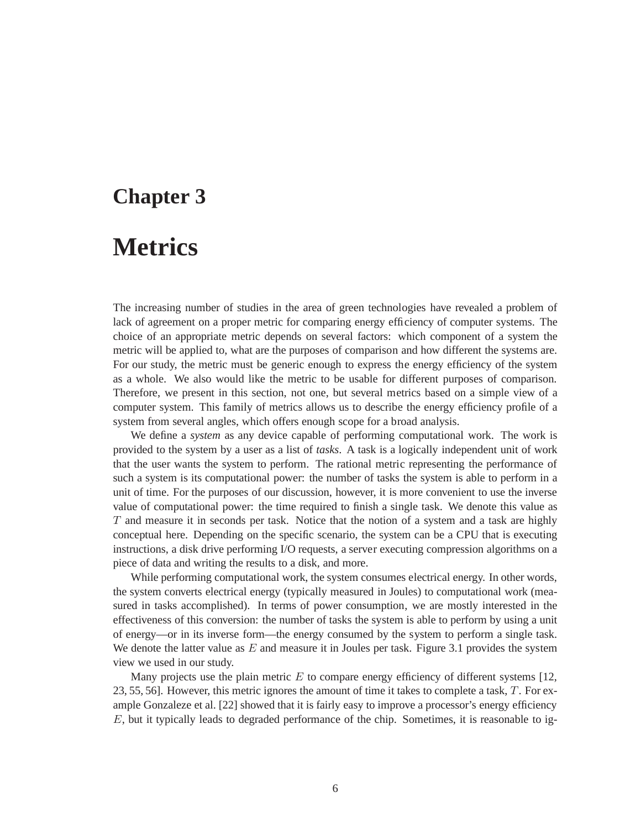### **Chapter 3**

### **Metrics**

The increasing number of studies in the area of green technologies have revealed a problem of lack of agreement on a proper metric for comparing energy efficiency of computer systems. The choice of an appropriate metric depends on several factors: which component of a system the metric will be applied to, what are the purposes of comparison and how different the systems are. For our study, the metric must be generic enough to express the energy efficiency of the system as a whole. We also would like the metric to be usable for different purposes of comparison. Therefore, we present in this section, not one, but several metrics based on a simple view of a computer system. This family of metrics allows us to describe the energy efficiency profile of a system from several angles, which offers enough scope for a broad analysis.

We define a *system* as any device capable of performing computational work. The work is provided to the system by a user as a list of *tasks*. A task is a logically independent unit of work that the user wants the system to perform. The rational metric representing the performance of such a system is its computational power: the number of tasks the system is able to perform in a unit of time. For the purposes of our discussion, however, it is more convenient to use the inverse value of computational power: the time required to finish a single task. We denote this value as  $T$  and measure it in seconds per task. Notice that the notion of a system and a task are highly conceptual here. Depending on the specific scenario, the system can be a CPU that is executing instructions, a disk drive performing I/O requests, a server executing compression algorithms on a piece of data and writing the results to a disk, and more.

While performing computational work, the system consumes electrical energy. In other words, the system converts electrical energy (typically measured in Joules) to computational work (measured in tasks accomplished). In terms of power consumption, we are mostly interested in the effectiveness of this conversion: the number of tasks the system is able to perform by using a unit of energy—or in its inverse form—the energy consumed by the system to perform a single task. We denote the latter value as  $E$  and measure it in Joules per task. Figure 3.1 provides the system view we used in our study.

Many projects use the plain metric  $E$  to compare energy efficiency of different systems [12, 23, 55, 56]. However, this metric ignores the amount of time it takes to complete a task,  $T$ . For example Gonzaleze et al. [22] showed that it is fairly easy to improve a processor's energy efficiency  $E$ , but it typically leads to degraded performance of the chip. Sometimes, it is reasonable to ig-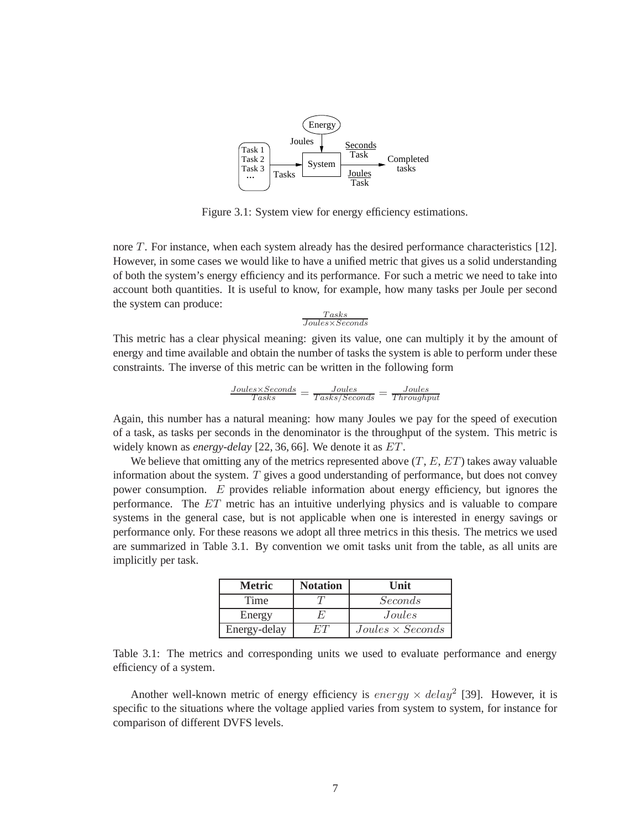

Figure 3.1: System view for energy efficiency estimations.

nore T. For instance, when each system already has the desired performance characteristics [12]. However, in some cases we would like to have a unified metric that gives us a solid understanding of both the system's energy efficiency and its performance. For such a metric we need to take into account both quantities. It is useful to know, for example, how many tasks per Joule per second the system can produce:

$$
\frac{Tasks}{Joules \times Seconds}
$$

This metric has a clear physical meaning: given its value, one can multiply it by the amount of energy and time available and obtain the number of tasks the system is able to perform under these constraints. The inverse of this metric can be written in the following form

$$
\frac{Joules \times Seconds}{Tasks} = \frac{Joules}{Tasks / Seconds} = \frac{Joules}{Throughput}
$$

Again, this number has a natural meaning: how many Joules we pay for the speed of execution of a task, as tasks per seconds in the denominator is the throughput of the system. This metric is widely known as *energy-delay* [22, 36, 66]. We denote it as ET.

We believe that omitting any of the metrics represented above  $(T, E, ET)$  takes away valuable information about the system.  $T$  gives a good understanding of performance, but does not convey power consumption. E provides reliable information about energy efficiency, but ignores the performance. The ET metric has an intuitive underlying physics and is valuable to compare systems in the general case, but is not applicable when one is interested in energy savings or performance only. For these reasons we adopt all three metrics in this thesis. The metrics we used are summarized in Table 3.1. By convention we omit tasks unit from the table, as all units are implicitly per task.

| Metric       | <b>Notation</b> | Unit                    |
|--------------|-----------------|-------------------------|
| Time         |                 | Seconds                 |
| Energy       |                 | Joules                  |
| Energy-delay |                 | $Joules \times Seconds$ |

Table 3.1: The metrics and corresponding units we used to evaluate performance and energy efficiency of a system.

Another well-known metric of energy efficiency is  $energy \times delay^2$  [39]. However, it is specific to the situations where the voltage applied varies from system to system, for instance for comparison of different DVFS levels.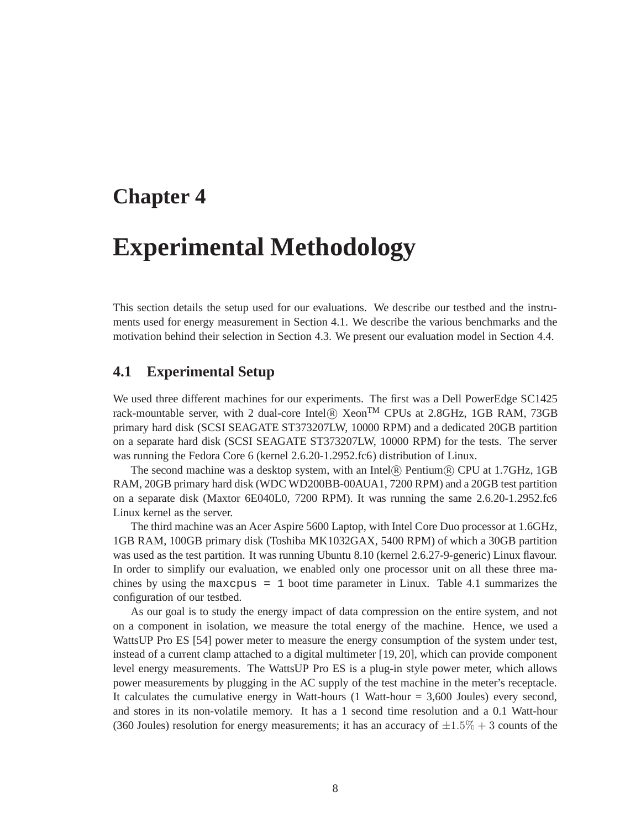### **Chapter 4**

### **Experimental Methodology**

This section details the setup used for our evaluations. We describe our testbed and the instruments used for energy measurement in Section 4.1. We describe the various benchmarks and the motivation behind their selection in Section 4.3. We present our evaluation model in Section 4.4.

#### **4.1 Experimental Setup**

We used three different machines for our experiments. The first was a Dell PowerEdge SC1425 rack-mountable server, with 2 dual-core Intel® Xeon<sup>TM</sup> CPUs at 2.8GHz, 1GB RAM, 73GB primary hard disk (SCSI SEAGATE ST373207LW, 10000 RPM) and a dedicated 20GB partition on a separate hard disk (SCSI SEAGATE ST373207LW, 10000 RPM) for the tests. The server was running the Fedora Core 6 (kernel 2.6.20-1.2952.fc6) distribution of Linux.

The second machine was a desktop system, with an Intel R Pentium R CPU at 1.7GHz, 1GB RAM, 20GB primary hard disk (WDC WD200BB-00AUA1, 7200 RPM) and a 20GB test partition on a separate disk (Maxtor 6E040L0, 7200 RPM). It was running the same 2.6.20-1.2952.fc6 Linux kernel as the server.

The third machine was an Acer Aspire 5600 Laptop, with Intel Core Duo processor at 1.6GHz, 1GB RAM, 100GB primary disk (Toshiba MK1032GAX, 5400 RPM) of which a 30GB partition was used as the test partition. It was running Ubuntu 8.10 (kernel 2.6.27-9-generic) Linux flavour. In order to simplify our evaluation, we enabled only one processor unit on all these three machines by using the maxcpus = 1 boot time parameter in Linux. Table 4.1 summarizes the configuration of our testbed.

As our goal is to study the energy impact of data compression on the entire system, and not on a component in isolation, we measure the total energy of the machine. Hence, we used a WattsUP Pro ES [54] power meter to measure the energy consumption of the system under test, instead of a current clamp attached to a digital multimeter [19, 20], which can provide component level energy measurements. The WattsUP Pro ES is a plug-in style power meter, which allows power measurements by plugging in the AC supply of the test machine in the meter's receptacle. It calculates the cumulative energy in Watt-hours  $(1 \text{ Watt-hour} = 3,600 \text{ Joules})$  every second, and stores in its non-volatile memory. It has a 1 second time resolution and a 0.1 Watt-hour (360 Joules) resolution for energy measurements; it has an accuracy of  $\pm 1.5\% + 3$  counts of the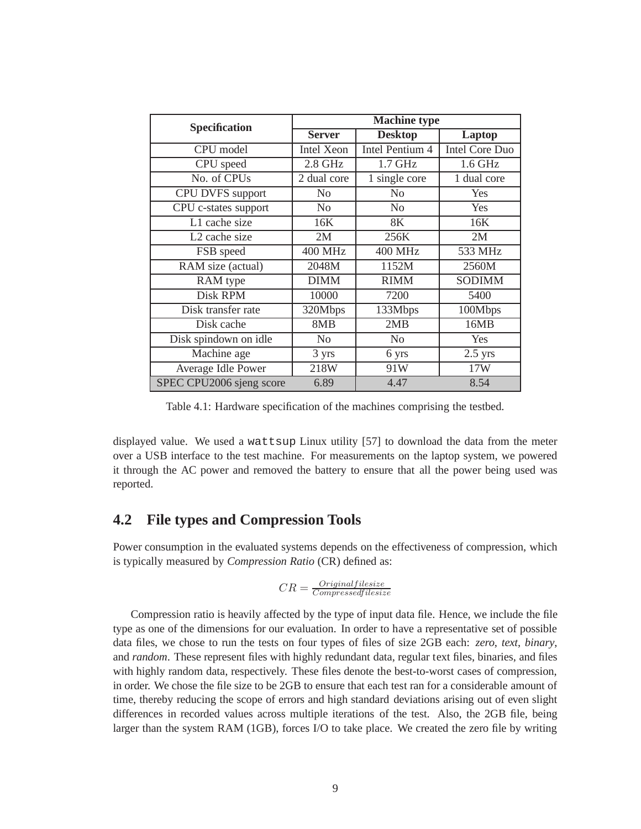| <b>Specification</b>     | Machine type      |                 |                       |  |
|--------------------------|-------------------|-----------------|-----------------------|--|
|                          | <b>Server</b>     | <b>Desktop</b>  | Laptop                |  |
| CPU model                | <b>Intel Xeon</b> | Intel Pentium 4 | <b>Intel Core Duo</b> |  |
| CPU speed                | $2.8$ GHz         | 1.7 GHz         | 1.6 GHz               |  |
| No. of CPUs              | 2 dual core       | 1 single core   | 1 dual core           |  |
| CPU DVFS support         | N <sub>0</sub>    | No              | <b>Yes</b>            |  |
| CPU c-states support     | N <sub>o</sub>    | N <sub>0</sub>  | Yes                   |  |
| L1 cache size            | 16K               | 8K              | 16K                   |  |
| L2 cache size            | 2M                | 256K            | 2M                    |  |
| FSB speed                | <b>400 MHz</b>    | <b>400 MHz</b>  | 533 MHz               |  |
| RAM size (actual)        | 2048M             | 1152M           | 2560M                 |  |
| RAM type                 | <b>DIMM</b>       | <b>RIMM</b>     | <b>SODIMM</b>         |  |
| Disk RPM                 | 10000             | 7200            | 5400                  |  |
| Disk transfer rate       | 320Mbps           | 133Mbps         | 100Mbps               |  |
| Disk cache               | 8MB               | 2MB             | 16MB                  |  |
| Disk spindown on idle    | N <sub>0</sub>    | N <sub>0</sub>  | <b>Yes</b>            |  |
| Machine age              | 3 yrs             | 6 yrs           | $2.5$ yrs             |  |
| Average Idle Power       | 218W              | 91W             | 17W                   |  |
| SPEC CPU2006 sjeng score | 6.89              | 4.47            | 8.54                  |  |

Table 4.1: Hardware specification of the machines comprising the testbed.

displayed value. We used a wattsup Linux utility [57] to download the data from the meter over a USB interface to the test machine. For measurements on the laptop system, we powered it through the AC power and removed the battery to ensure that all the power being used was reported.

#### **4.2 File types and Compression Tools**

Power consumption in the evaluated systems depends on the effectiveness of compression, which is typically measured by *Compression Ratio* (CR) defined as:

$$
CR = \frac{Original file size}{Compressed filesize}
$$

Compression ratio is heavily affected by the type of input data file. Hence, we include the file type as one of the dimensions for our evaluation. In order to have a representative set of possible data files, we chose to run the tests on four types of files of size 2GB each: *zero*, *text*, *binary*, and *random*. These represent files with highly redundant data, regular text files, binaries, and files with highly random data, respectively. These files denote the best-to-worst cases of compression, in order. We chose the file size to be 2GB to ensure that each test ran for a considerable amount of time, thereby reducing the scope of errors and high standard deviations arising out of even slight differences in recorded values across multiple iterations of the test. Also, the 2GB file, being larger than the system RAM (1GB), forces I/O to take place. We created the zero file by writing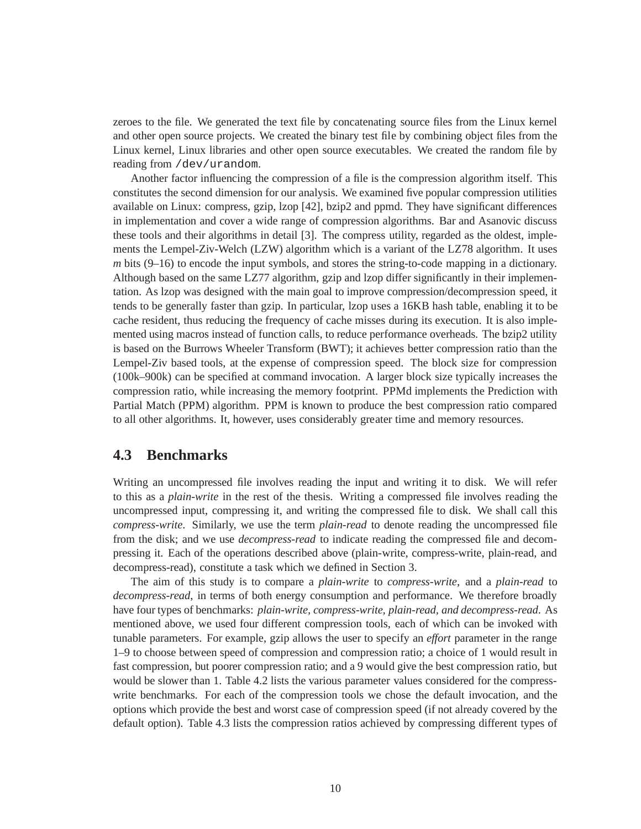zeroes to the file. We generated the text file by concatenating source files from the Linux kernel and other open source projects. We created the binary test file by combining object files from the Linux kernel, Linux libraries and other open source executables. We created the random file by reading from /dev/urandom.

Another factor influencing the compression of a file is the compression algorithm itself. This constitutes the second dimension for our analysis. We examined five popular compression utilities available on Linux: compress, gzip, lzop [42], bzip2 and ppmd. They have significant differences in implementation and cover a wide range of compression algorithms. Bar and Asanovic discuss these tools and their algorithms in detail [3]. The compress utility, regarded as the oldest, implements the Lempel-Ziv-Welch (LZW) algorithm which is a variant of the LZ78 algorithm. It uses *m* bits (9–16) to encode the input symbols, and stores the string-to-code mapping in a dictionary. Although based on the same LZ77 algorithm, gzip and lzop differ significantly in their implementation. As lzop was designed with the main goal to improve compression/decompression speed, it tends to be generally faster than gzip. In particular, lzop uses a 16KB hash table, enabling it to be cache resident, thus reducing the frequency of cache misses during its execution. It is also implemented using macros instead of function calls, to reduce performance overheads. The bzip2 utility is based on the Burrows Wheeler Transform (BWT); it achieves better compression ratio than the Lempel-Ziv based tools, at the expense of compression speed. The block size for compression (100k–900k) can be specified at command invocation. A larger block size typically increases the compression ratio, while increasing the memory footprint. PPMd implements the Prediction with Partial Match (PPM) algorithm. PPM is known to produce the best compression ratio compared to all other algorithms. It, however, uses considerably greater time and memory resources.

#### **4.3 Benchmarks**

Writing an uncompressed file involves reading the input and writing it to disk. We will refer to this as a *plain-write* in the rest of the thesis. Writing a compressed file involves reading the uncompressed input, compressing it, and writing the compressed file to disk. We shall call this *compress-write*. Similarly, we use the term *plain-read* to denote reading the uncompressed file from the disk; and we use *decompress-read* to indicate reading the compressed file and decompressing it. Each of the operations described above (plain-write, compress-write, plain-read, and decompress-read), constitute a task which we defined in Section 3.

The aim of this study is to compare a *plain-write* to *compress-write*, and a *plain-read* to *decompress-read*, in terms of both energy consumption and performance. We therefore broadly have four types of benchmarks: *plain-write, compress-write, plain-read, and decompress-read*. As mentioned above, we used four different compression tools, each of which can be invoked with tunable parameters. For example, gzip allows the user to specify an *effort* parameter in the range 1–9 to choose between speed of compression and compression ratio; a choice of 1 would result in fast compression, but poorer compression ratio; and a 9 would give the best compression ratio, but would be slower than 1. Table 4.2 lists the various parameter values considered for the compresswrite benchmarks. For each of the compression tools we chose the default invocation, and the options which provide the best and worst case of compression speed (if not already covered by the default option). Table 4.3 lists the compression ratios achieved by compressing different types of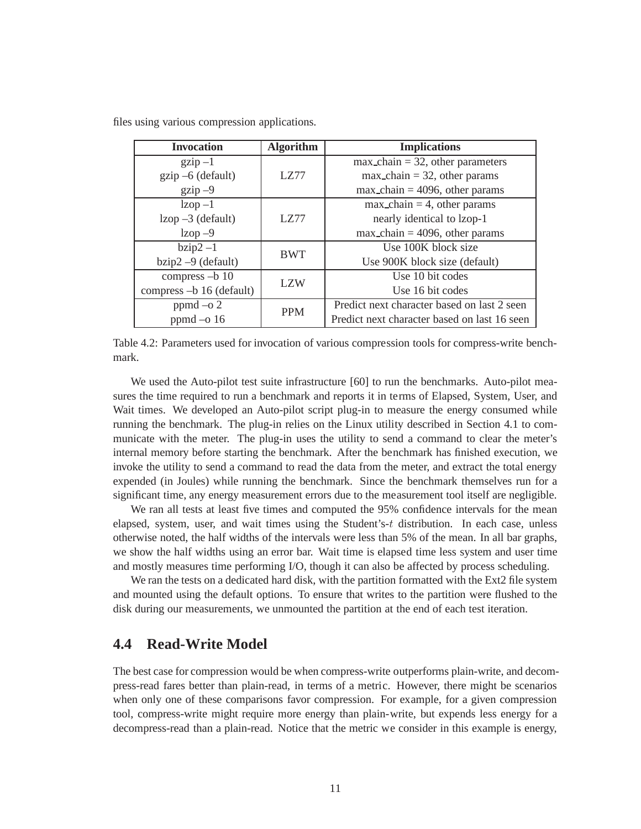| <b>Invocation</b>           | <b>Algorithm</b> | <b>Implications</b>                          |  |
|-----------------------------|------------------|----------------------------------------------|--|
| $\chi$ <sub>2</sub> ip $-1$ |                  | $max_{\text{chain}}$ = 32, other parameters  |  |
| $gzip -6$ (default)         | LZ77             | $max_{\text{chain}} = 32$ , other params     |  |
| $gzip -9$                   |                  | $max_{\text{chain}} = 4096$ , other params   |  |
| $1zop-1$                    |                  | $max_{\text{chain}} = 4$ , other params      |  |
| $1\text{zop} -3$ (default)  | LZ77             | nearly identical to lzop-1                   |  |
| $l$ zop $-9$                |                  | $max_{\text{chain}}$ = 4096, other params    |  |
| $bzip2 -1$                  | <b>BWT</b>       | Use 100K block size                          |  |
| $bzip2 - 9$ (default)       |                  | Use 900K block size (default)                |  |
| compress -b 10              | LZW              | Use 10 bit codes                             |  |
| compress -b 16 (default)    |                  | Use 16 bit codes                             |  |
| $ppmd - 0.2$                | <b>PPM</b>       | Predict next character based on last 2 seen  |  |
| ppmd $-$ o 16               |                  | Predict next character based on last 16 seen |  |

files using various compression applications.

Table 4.2: Parameters used for invocation of various compression tools for compress-write benchmark.

We used the Auto-pilot test suite infrastructure [60] to run the benchmarks. Auto-pilot measures the time required to run a benchmark and reports it in terms of Elapsed, System, User, and Wait times. We developed an Auto-pilot script plug-in to measure the energy consumed while running the benchmark. The plug-in relies on the Linux utility described in Section 4.1 to communicate with the meter. The plug-in uses the utility to send a command to clear the meter's internal memory before starting the benchmark. After the benchmark has finished execution, we invoke the utility to send a command to read the data from the meter, and extract the total energy expended (in Joules) while running the benchmark. Since the benchmark themselves run for a significant time, any energy measurement errors due to the measurement tool itself are negligible.

We ran all tests at least five times and computed the 95% confidence intervals for the mean elapsed, system, user, and wait times using the Student's-t distribution. In each case, unless otherwise noted, the half widths of the intervals were less than 5% of the mean. In all bar graphs, we show the half widths using an error bar. Wait time is elapsed time less system and user time and mostly measures time performing I/O, though it can also be affected by process scheduling.

We ran the tests on a dedicated hard disk, with the partition formatted with the Ext2 file system and mounted using the default options. To ensure that writes to the partition were flushed to the disk during our measurements, we unmounted the partition at the end of each test iteration.

#### **4.4 Read-Write Model**

The best case for compression would be when compress-write outperforms plain-write, and decompress-read fares better than plain-read, in terms of a metric. However, there might be scenarios when only one of these comparisons favor compression. For example, for a given compression tool, compress-write might require more energy than plain-write, but expends less energy for a decompress-read than a plain-read. Notice that the metric we consider in this example is energy,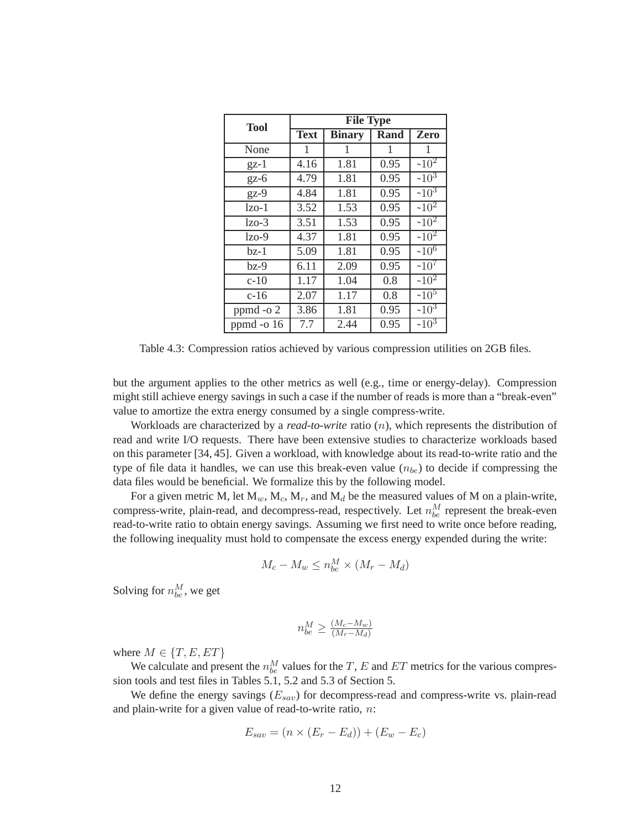| <b>Tool</b>  |             | <b>File Type</b> |      |               |
|--------------|-------------|------------------|------|---------------|
|              | <b>Text</b> | <b>Binary</b>    | Rand | Zero          |
| None         | 1           | 1                | 1    | 1             |
| $gz-1$       | 4.16        | 1.81             | 0.95 | $~10^2$       |
| $gz-6$       | 4.79        | 1.81             | 0.95 | $~10^3$       |
| $gz-9$       | 4.84        | 1.81             | 0.95 | $\sqrt{10^3}$ |
| $lzo-1$      | 3.52        | 1.53             | 0.95 | $~10^2$       |
| $1z0 - 3$    | 3.51        | 1.53             | 0.95 | $~10^2$       |
| $1z0$ -9     | 4.37        | 1.81             | 0.95 | $~10^2$       |
| bz-1         | 5.09        | 1.81             | 0.95 | $~10^6$       |
| $bz-9$       | 6.11        | 2.09             | 0.95 | $~10^7$       |
| $c-10$       | 1.17        | 1.04             | 0.8  | $~10^2$       |
| $c-16$       | 2.07        | 1.17             | 0.8  | $~10^5$       |
| ppmd -o 2    | 3.86        | 1.81             | 0.95 | $~10^3$       |
| ppmd -o $16$ | 7.7         | 2.44             | 0.95 | $~10^3$       |

Table 4.3: Compression ratios achieved by various compression utilities on 2GB files.

but the argument applies to the other metrics as well (e.g., time or energy-delay). Compression might still achieve energy savings in such a case if the number of reads is more than a "break-even" value to amortize the extra energy consumed by a single compress-write.

Workloads are characterized by a *read-to-write* ratio (n), which represents the distribution of read and write I/O requests. There have been extensive studies to characterize workloads based on this parameter [34, 45]. Given a workload, with knowledge about its read-to-write ratio and the type of file data it handles, we can use this break-even value  $(n_{be})$  to decide if compressing the data files would be beneficial. We formalize this by the following model.

For a given metric M, let  $M_w$ ,  $M_c$ ,  $M_r$ , and  $M_d$  be the measured values of M on a plain-write, compress-write, plain-read, and decompress-read, respectively. Let  $n_{be}^M$  represent the break-even read-to-write ratio to obtain energy savings. Assuming we first need to write once before reading, the following inequality must hold to compensate the excess energy expended during the write:

$$
M_c - M_w \le n_{be}^M \times (M_r - M_d)
$$

Solving for  $n_{be}^M$ , we get

$$
n_{be}^M \geq \frac{(M_c - M_w)}{(M_r - M_d)}
$$

where  $M \in \{T, E, ET\}$ 

We calculate and present the  $n_{be}^M$  values for the T, E and ET metrics for the various compression tools and test files in Tables 5.1, 5.2 and 5.3 of Section 5.

We define the energy savings  $(E_{sav})$  for decompress-read and compress-write vs. plain-read and plain-write for a given value of read-to-write ratio,  $n$ :

$$
E_{sav} = (n \times (E_r - E_d)) + (E_w - E_c)
$$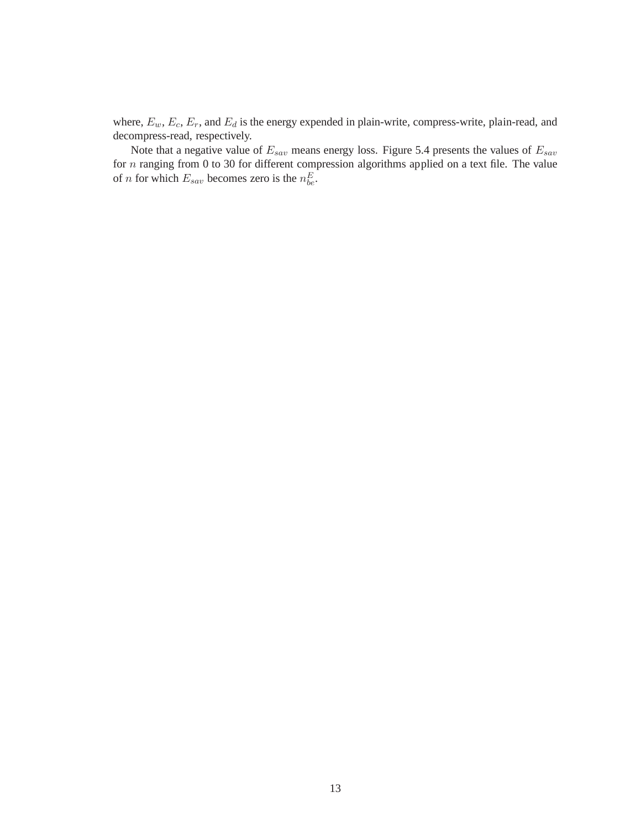where,  $E_w$ ,  $E_c$ ,  $E_r$ , and  $E_d$  is the energy expended in plain-write, compress-write, plain-read, and decompress-read, respectively.

Note that a negative value of  $E_{sav}$  means energy loss. Figure 5.4 presents the values of  $E_{sav}$ for n ranging from 0 to 30 for different compression algorithms applied on a text file. The value of *n* for which  $E_{sav}$  becomes zero is the  $n_{be}^E$ .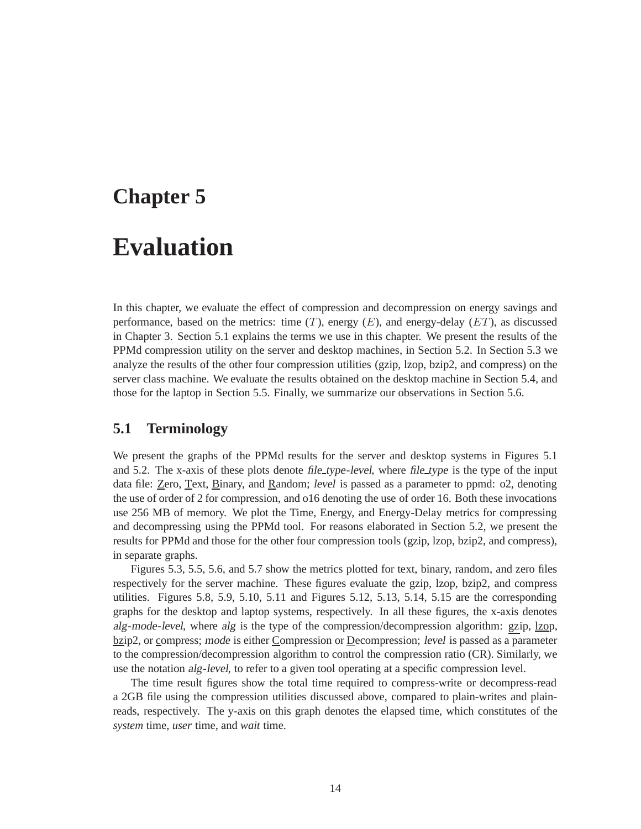### **Chapter 5**

## **Evaluation**

In this chapter, we evaluate the effect of compression and decompression on energy savings and performance, based on the metrics: time  $(T)$ , energy  $(E)$ , and energy-delay  $(ET)$ , as discussed in Chapter 3. Section 5.1 explains the terms we use in this chapter. We present the results of the PPMd compression utility on the server and desktop machines, in Section 5.2. In Section 5.3 we analyze the results of the other four compression utilities (gzip, lzop, bzip2, and compress) on the server class machine. We evaluate the results obtained on the desktop machine in Section 5.4, and those for the laptop in Section 5.5. Finally, we summarize our observations in Section 5.6.

#### **5.1 Terminology**

We present the graphs of the PPMd results for the server and desktop systems in Figures 5.1 and 5.2. The x-axis of these plots denote file type-level, where file type is the type of the input data file: Zero, Text, Binary, and Random; level is passed as a parameter to ppmd: o2, denoting the use of order of 2 for compression, and o16 denoting the use of order 16. Both these invocations use 256 MB of memory. We plot the Time, Energy, and Energy-Delay metrics for compressing and decompressing using the PPMd tool. For reasons elaborated in Section 5.2, we present the results for PPMd and those for the other four compression tools (gzip, lzop, bzip2, and compress), in separate graphs.

Figures 5.3, 5.5, 5.6, and 5.7 show the metrics plotted for text, binary, random, and zero files respectively for the server machine. These figures evaluate the gzip, lzop, bzip2, and compress utilities. Figures 5.8, 5.9, 5.10, 5.11 and Figures 5.12, 5.13, 5.14, 5.15 are the corresponding graphs for the desktop and laptop systems, respectively. In all these figures, the x-axis denotes alg-mode-level, where alg is the type of the compression/decompression algorithm: gzip, lzop, bzip2, or compress; mode is either Compression or Decompression; level is passed as a parameter to the compression/decompression algorithm to control the compression ratio (CR). Similarly, we use the notation alg-level, to refer to a given tool operating at a specific compression level.

The time result figures show the total time required to compress-write or decompress-read a 2GB file using the compression utilities discussed above, compared to plain-writes and plainreads, respectively. The y-axis on this graph denotes the elapsed time, which constitutes of the *system* time, *user* time, and *wait* time.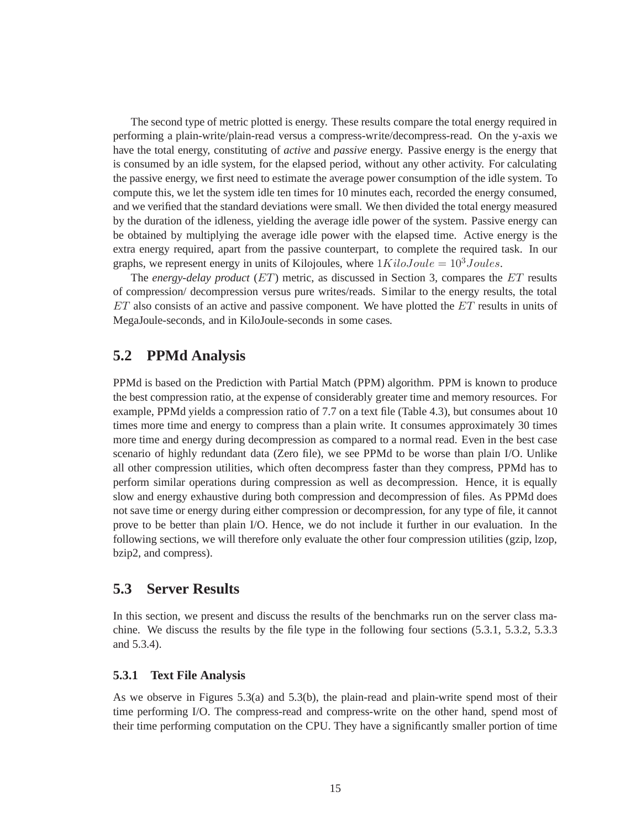The second type of metric plotted is energy. These results compare the total energy required in performing a plain-write/plain-read versus a compress-write/decompress-read. On the y-axis we have the total energy, constituting of *active* and *passive* energy. Passive energy is the energy that is consumed by an idle system, for the elapsed period, without any other activity. For calculating the passive energy, we first need to estimate the average power consumption of the idle system. To compute this, we let the system idle ten times for 10 minutes each, recorded the energy consumed, and we verified that the standard deviations were small. We then divided the total energy measured by the duration of the idleness, yielding the average idle power of the system. Passive energy can be obtained by multiplying the average idle power with the elapsed time. Active energy is the extra energy required, apart from the passive counterpart, to complete the required task. In our graphs, we represent energy in units of Kilojoules, where  $1Kilo Joule = 10<sup>3</sup> Joules.$ 

The *energy-delay product* (ET) metric, as discussed in Section 3, compares the ET results of compression/ decompression versus pure writes/reads. Similar to the energy results, the total  $ET$  also consists of an active and passive component. We have plotted the  $ET$  results in units of MegaJoule-seconds, and in KiloJoule-seconds in some cases.

#### **5.2 PPMd Analysis**

PPMd is based on the Prediction with Partial Match (PPM) algorithm. PPM is known to produce the best compression ratio, at the expense of considerably greater time and memory resources. For example, PPMd yields a compression ratio of 7.7 on a text file (Table 4.3), but consumes about 10 times more time and energy to compress than a plain write. It consumes approximately 30 times more time and energy during decompression as compared to a normal read. Even in the best case scenario of highly redundant data (Zero file), we see PPMd to be worse than plain I/O. Unlike all other compression utilities, which often decompress faster than they compress, PPMd has to perform similar operations during compression as well as decompression. Hence, it is equally slow and energy exhaustive during both compression and decompression of files. As PPMd does not save time or energy during either compression or decompression, for any type of file, it cannot prove to be better than plain I/O. Hence, we do not include it further in our evaluation. In the following sections, we will therefore only evaluate the other four compression utilities (gzip, lzop, bzip2, and compress).

#### **5.3 Server Results**

In this section, we present and discuss the results of the benchmarks run on the server class machine. We discuss the results by the file type in the following four sections (5.3.1, 5.3.2, 5.3.3 and 5.3.4).

#### **5.3.1 Text File Analysis**

As we observe in Figures 5.3(a) and 5.3(b), the plain-read and plain-write spend most of their time performing I/O. The compress-read and compress-write on the other hand, spend most of their time performing computation on the CPU. They have a significantly smaller portion of time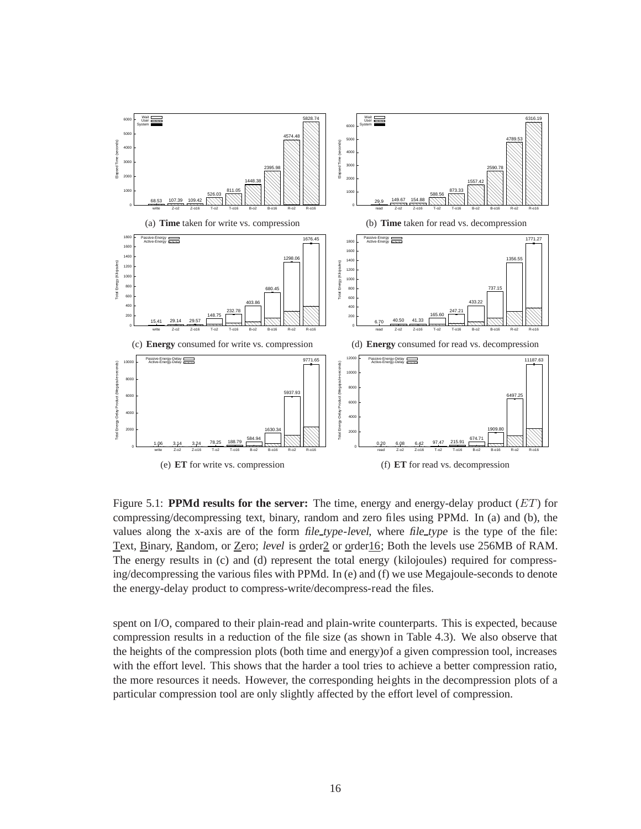

Figure 5.1: **PPMd results for the server:** The time, energy and energy-delay product (ET) for compressing/decompressing text, binary, random and zero files using PPMd. In (a) and (b), the values along the x-axis are of the form *file\_type-level*, where *file\_type* is the type of the file: Text, Binary, Random, or Zero; level is order2 or order16; Both the levels use 256MB of RAM. The energy results in (c) and (d) represent the total energy (kilojoules) required for compressing/decompressing the various files with PPMd. In (e) and (f) we use Megajoule-seconds to denote the energy-delay product to compress-write/decompress-read the files.

spent on I/O, compared to their plain-read and plain-write counterparts. This is expected, because compression results in a reduction of the file size (as shown in Table 4.3). We also observe that the heights of the compression plots (both time and energy)of a given compression tool, increases with the effort level. This shows that the harder a tool tries to achieve a better compression ratio, the more resources it needs. However, the corresponding heights in the decompression plots of a particular compression tool are only slightly affected by the effort level of compression.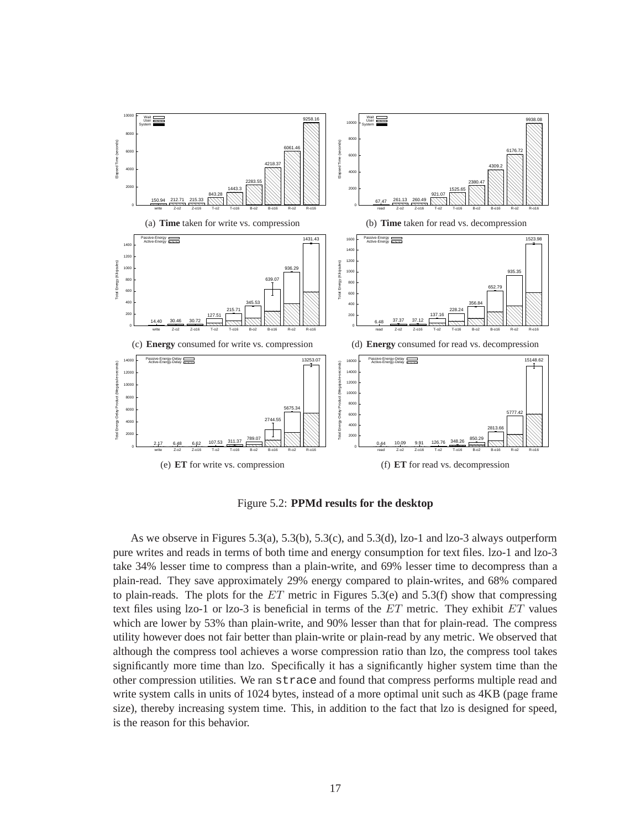

Figure 5.2: **PPMd results for the desktop**

As we observe in Figures 5.3(a), 5.3(b), 5.3(c), and 5.3(d),  $|z_0-1|$  and  $|z_0-3|$  always outperform pure writes and reads in terms of both time and energy consumption for text files. lzo-1 and lzo-3 take 34% lesser time to compress than a plain-write, and 69% lesser time to decompress than a plain-read. They save approximately 29% energy compared to plain-writes, and 68% compared to plain-reads. The plots for the  $ET$  metric in Figures 5.3(e) and 5.3(f) show that compressing text files using lzo-1 or lzo-3 is beneficial in terms of the  $ET$  metric. They exhibit  $ET$  values which are lower by 53% than plain-write, and 90% lesser than that for plain-read. The compress utility however does not fair better than plain-write or plain-read by any metric. We observed that although the compress tool achieves a worse compression ratio than lzo, the compress tool takes significantly more time than lzo. Specifically it has a significantly higher system time than the other compression utilities. We ran strace and found that compress performs multiple read and write system calls in units of 1024 bytes, instead of a more optimal unit such as 4KB (page frame size), thereby increasing system time. This, in addition to the fact that lzo is designed for speed, is the reason for this behavior.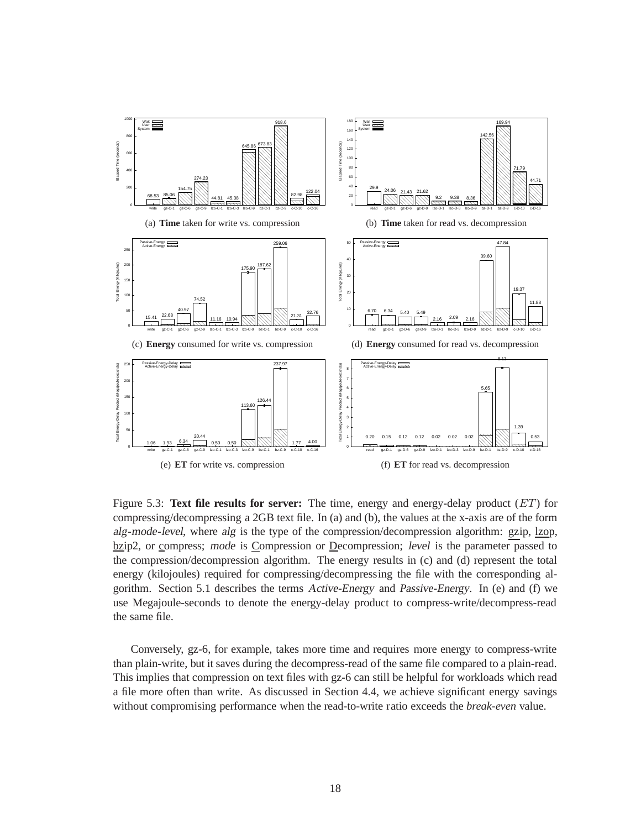

Figure 5.3: **Text file results for server:** The time, energy and energy-delay product (ET) for compressing/decompressing a 2GB text file. In (a) and (b), the values at the x-axis are of the form alg-mode-level, where alg is the type of the compression/decompression algorithm: gzip, lzop, bzip2, or compress; mode is Compression or Decompression; level is the parameter passed to the compression/decompression algorithm. The energy results in (c) and (d) represent the total energy (kilojoules) required for compressing/decompressing the file with the corresponding algorithm. Section 5.1 describes the terms Active-Energy and Passive-Energy. In (e) and (f) we use Megajoule-seconds to denote the energy-delay product to compress-write/decompress-read the same file.

Conversely, gz-6, for example, takes more time and requires more energy to compress-write than plain-write, but it saves during the decompress-read of the same file compared to a plain-read. This implies that compression on text files with gz-6 can still be helpful for workloads which read a file more often than write. As discussed in Section 4.4, we achieve significant energy savings without compromising performance when the read-to-write ratio exceeds the *break-even* value.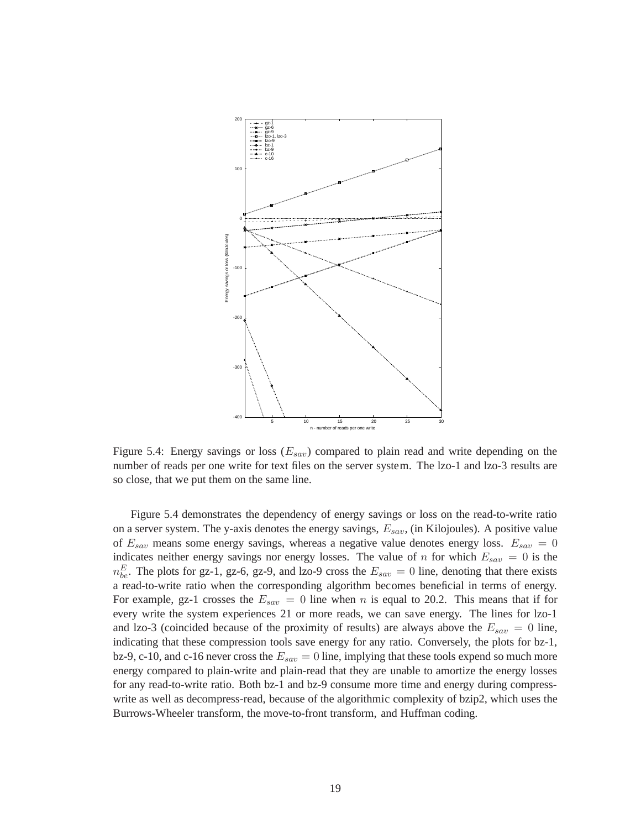

Figure 5.4: Energy savings or loss  $(E_{sav})$  compared to plain read and write depending on the number of reads per one write for text files on the server system. The lzo-1 and lzo-3 results are so close, that we put them on the same line.

Figure 5.4 demonstrates the dependency of energy savings or loss on the read-to-write ratio on a server system. The y-axis denotes the energy savings,  $E_{sav}$ , (in Kilojoules). A positive value of  $E_{sav}$  means some energy savings, whereas a negative value denotes energy loss.  $E_{sav} = 0$ indicates neither energy savings nor energy losses. The value of n for which  $E_{sav} = 0$  is the  $n_{be}^E$ . The plots for gz-1, gz-6, gz-9, and lzo-9 cross the  $E_{sav} = 0$  line, denoting that there exists a read-to-write ratio when the corresponding algorithm becomes beneficial in terms of energy. For example, gz-1 crosses the  $E_{sav} = 0$  line when n is equal to 20.2. This means that if for every write the system experiences 21 or more reads, we can save energy. The lines for lzo-1 and lzo-3 (coincided because of the proximity of results) are always above the  $E_{sav} = 0$  line, indicating that these compression tools save energy for any ratio. Conversely, the plots for bz-1, bz-9, c-10, and c-16 never cross the  $E_{sav} = 0$  line, implying that these tools expend so much more energy compared to plain-write and plain-read that they are unable to amortize the energy losses for any read-to-write ratio. Both bz-1 and bz-9 consume more time and energy during compresswrite as well as decompress-read, because of the algorithmic complexity of bzip2, which uses the Burrows-Wheeler transform, the move-to-front transform, and Huffman coding.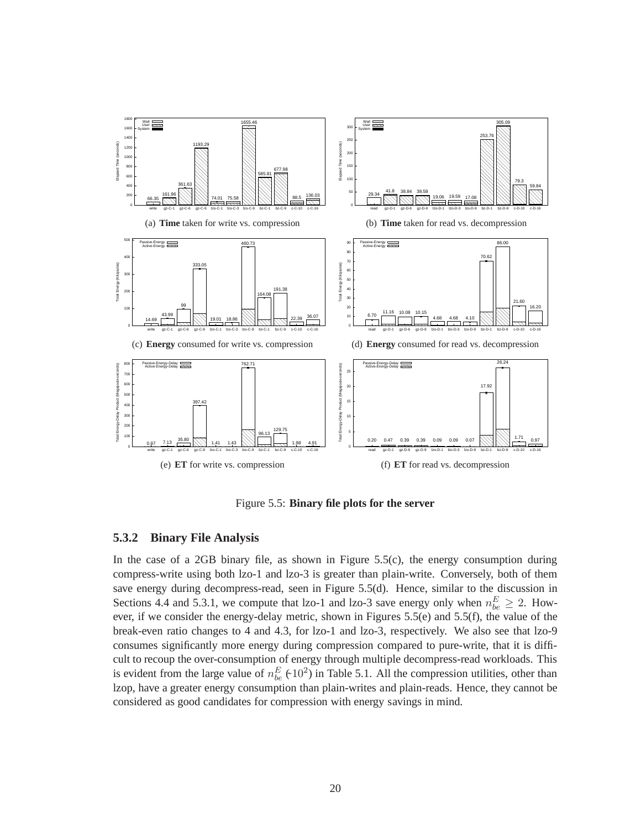

Figure 5.5: **Binary file plots for the server**

#### **5.3.2 Binary File Analysis**

In the case of a 2GB binary file, as shown in Figure  $5.5(c)$ , the energy consumption during compress-write using both lzo-1 and lzo-3 is greater than plain-write. Conversely, both of them save energy during decompress-read, seen in Figure 5.5(d). Hence, similar to the discussion in Sections 4.4 and 5.3.1, we compute that lzo-1 and lzo-3 save energy only when  $n_{be}^{E} \ge 2$ . However, if we consider the energy-delay metric, shown in Figures  $5.5(e)$  and  $5.5(f)$ , the value of the break-even ratio changes to 4 and 4.3, for lzo-1 and lzo-3, respectively. We also see that lzo-9 consumes significantly more energy during compression compared to pure-write, that it is difficult to recoup the over-consumption of energy through multiple decompress-read workloads. This is evident from the large value of  $n_{be}^{E}$  ( $\pm 10^{2}$ ) in Table 5.1. All the compression utilities, other than lzop, have a greater energy consumption than plain-writes and plain-reads. Hence, they cannot be considered as good candidates for compression with energy savings in mind.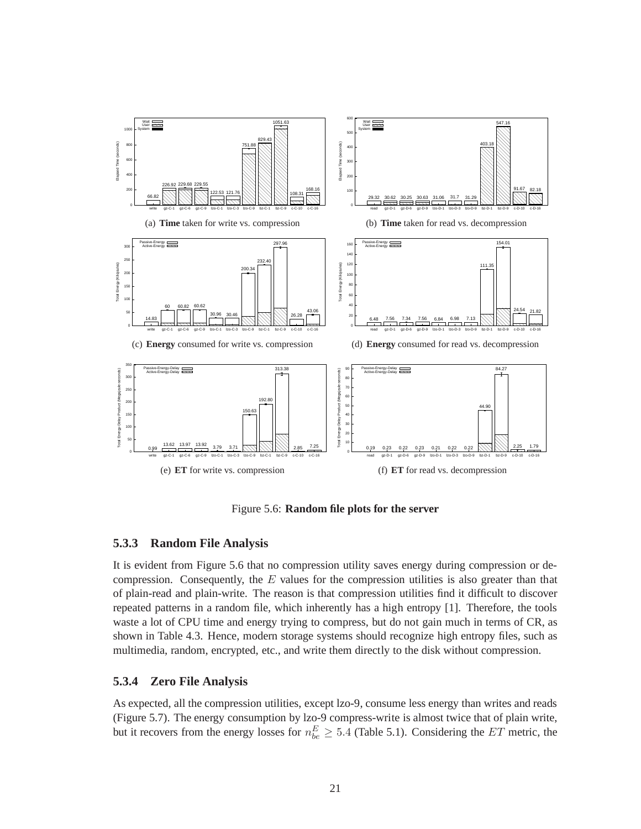

Figure 5.6: **Random file plots for the server**

#### **5.3.3 Random File Analysis**

It is evident from Figure 5.6 that no compression utility saves energy during compression or decompression. Consequently, the  $E$  values for the compression utilities is also greater than that of plain-read and plain-write. The reason is that compression utilities find it difficult to discover repeated patterns in a random file, which inherently has a high entropy [1]. Therefore, the tools waste a lot of CPU time and energy trying to compress, but do not gain much in terms of CR, as shown in Table 4.3. Hence, modern storage systems should recognize high entropy files, such as multimedia, random, encrypted, etc., and write them directly to the disk without compression.

#### **5.3.4 Zero File Analysis**

As expected, all the compression utilities, except lzo-9, consume less energy than writes and reads (Figure 5.7). The energy consumption by lzo-9 compress-write is almost twice that of plain write, but it recovers from the energy losses for  $n_{be}^E \ge 5.4$  (Table 5.1). Considering the ET metric, the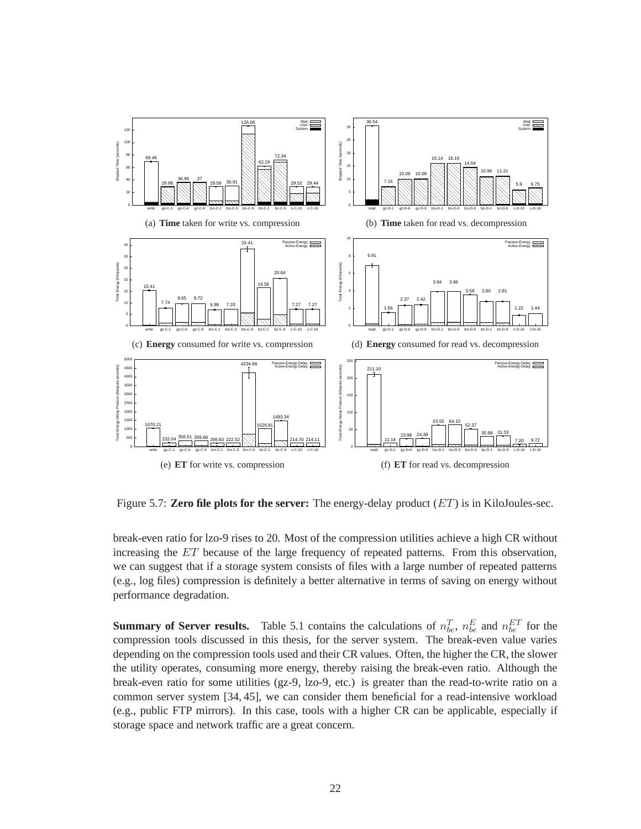

Figure 5.7: **Zero file plots for the server:** The energy-delay product (ET) is in KiloJoules-sec.

break-even ratio for lzo-9 rises to 20. Most of the compression utilities achieve a high CR without increasing the ET because of the large frequency of repeated patterns. From this observation, we can suggest that if a storage system consists of files with a large number of repeated patterns (e.g., log files) compression is definitely a better alternative in terms of saving on energy without performance degradation.

**Summary of Server results.** Table 5.1 contains the calculations of  $n_{be}^T$ ,  $n_{be}^E$  and  $n_{be}^{ET}$  for the compression tools discussed in this thesis, for the server system. The break-even value varies depending on the compression tools used and their CR values. Often, the higher the CR, the slower the utility operates, consuming more energy, thereby raising the break-even ratio. Although the break-even ratio for some utilities (gz-9, lzo-9, etc.) is greater than the read-to-write ratio on a common server system [34, 45], we can consider them beneficial for a read-intensive workload (e.g., public FTP mirrors). In this case, tools with a higher CR can be applicable, especially if storage space and network traffic are a great concern.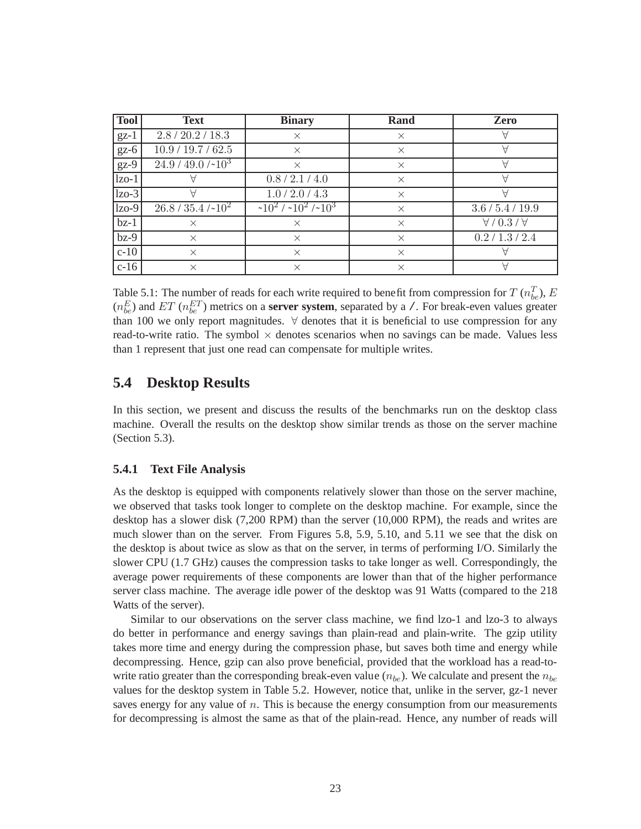| <b>Tool</b> | <b>Text</b>            | <b>Binary</b>               | Rand     | Zero                        |
|-------------|------------------------|-----------------------------|----------|-----------------------------|
| $gz-1$      | 2.8 / 20.2 / 18.3      | $\times$                    | $\times$ | Α                           |
| $gz-6$      | 10.9 / 19.7 / 62.5     | $\times$                    | $\times$ | Α                           |
| $gz-9$      | $24.9 / 49.0 / -103$   | $\times$                    | $\times$ |                             |
| $1zo-1$     |                        | 0.8 / 2.1 / 4.0             | $\times$ | ∀                           |
| $ z_0-3 $   |                        | 1.0 / 2.0 / 4.3             | $\times$ |                             |
| $ zo-9 $    | $26.8 / 35.4 / 10^{2}$ | $\sqrt{10^2 / 10^2 / 10^3}$ | $\times$ | 3.6 / 5.4 / 19.9            |
| $bz-1$      | $\times$               | $\times$                    | $\times$ | $\forall$ / 0.3 / $\forall$ |
| $bz-9$      | $\times$               | $\times$                    | $\times$ | 0.2 / 1.3 / 2.4             |
| $c-10$      | $\times$               | $\times$                    | $\times$ |                             |
| $c-16$      | $\times$               | $\times$                    | $\times$ |                             |

Table 5.1: The number of reads for each write required to benefit from compression for  $T(n_{be}^T)$ ,  $E$  $(n_{be}^E)$  and  $ET$  ( $n_{be}^{ET}$ ) metrics on a **server system**, separated by a /. For break-even values greater than 100 we only report magnitudes. ∀ denotes that it is beneficial to use compression for any read-to-write ratio. The symbol  $\times$  denotes scenarios when no savings can be made. Values less than 1 represent that just one read can compensate for multiple writes.

#### **5.4 Desktop Results**

In this section, we present and discuss the results of the benchmarks run on the desktop class machine. Overall the results on the desktop show similar trends as those on the server machine (Section 5.3).

#### **5.4.1 Text File Analysis**

As the desktop is equipped with components relatively slower than those on the server machine, we observed that tasks took longer to complete on the desktop machine. For example, since the desktop has a slower disk (7,200 RPM) than the server (10,000 RPM), the reads and writes are much slower than on the server. From Figures 5.8, 5.9, 5.10, and 5.11 we see that the disk on the desktop is about twice as slow as that on the server, in terms of performing I/O. Similarly the slower CPU (1.7 GHz) causes the compression tasks to take longer as well. Correspondingly, the average power requirements of these components are lower than that of the higher performance server class machine. The average idle power of the desktop was 91 Watts (compared to the 218 Watts of the server).

Similar to our observations on the server class machine, we find lzo-1 and lzo-3 to always do better in performance and energy savings than plain-read and plain-write. The gzip utility takes more time and energy during the compression phase, but saves both time and energy while decompressing. Hence, gzip can also prove beneficial, provided that the workload has a read-towrite ratio greater than the corresponding break-even value ( $n_{be}$ ). We calculate and present the  $n_{be}$ values for the desktop system in Table 5.2. However, notice that, unlike in the server, gz-1 never saves energy for any value of  $n$ . This is because the energy consumption from our measurements for decompressing is almost the same as that of the plain-read. Hence, any number of reads will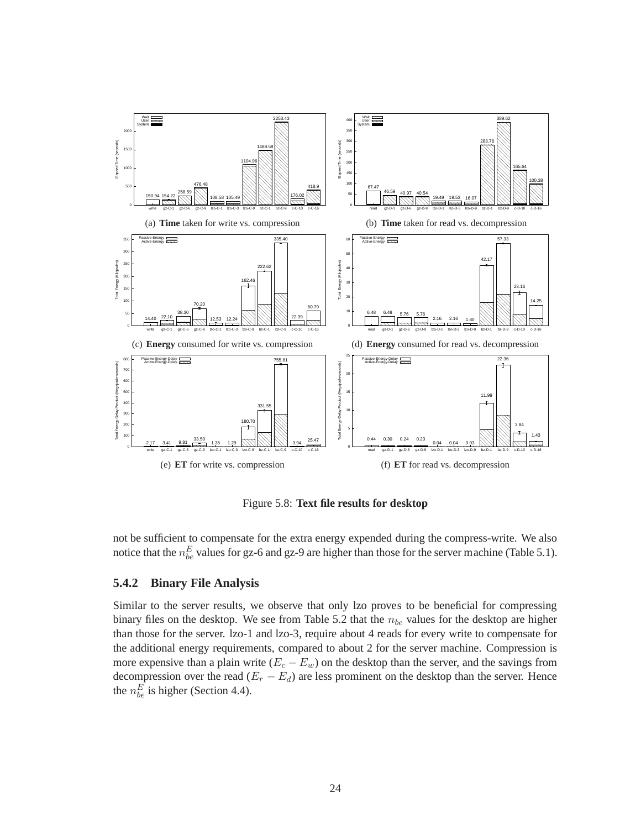

Figure 5.8: **Text file results for desktop**

not be sufficient to compensate for the extra energy expended during the compress-write. We also notice that the  $n_{be}^E$  values for gz-6 and gz-9 are higher than those for the server machine (Table 5.1).

#### **5.4.2 Binary File Analysis**

Similar to the server results, we observe that only lzo proves to be beneficial for compressing binary files on the desktop. We see from Table 5.2 that the  $n_{be}$  values for the desktop are higher than those for the server. lzo-1 and lzo-3, require about 4 reads for every write to compensate for the additional energy requirements, compared to about 2 for the server machine. Compression is more expensive than a plain write  $(E_c - E_w)$  on the desktop than the server, and the savings from decompression over the read  $(E_r - E_d)$  are less prominent on the desktop than the server. Hence the  $n_{be}^E$  is higher (Section 4.4).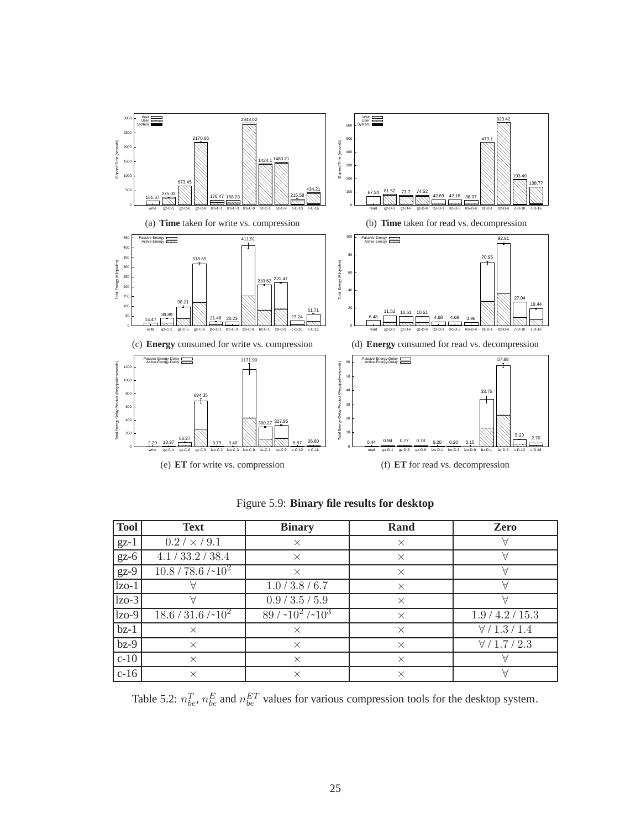

| <b>Tool</b> | <b>Text</b>                           | <b>Binary</b>   | Rand | Zero |
|-------------|---------------------------------------|-----------------|------|------|
| $gz-1$      | $0.2 / \times 9.1$                    |                 |      |      |
| $gz-6$      | 4.1 / 33.2 / 38.4                     |                 |      |      |
| $gz-9$      | $\frac{10.8}{78.6}$ /~10 <sup>2</sup> |                 |      |      |
| $lzo-1$     |                                       | 1.0 / 3.8 / 6.7 |      |      |
| $lzo-3$     |                                       | 0.9 / 3.5 / 5.9 |      |      |

bz-1 × × × ∀ / 1.3 / 1.4 bz-9 × × × ∀ / 1.7 / 2.3 c-10  $\times$   $\times$   $\times$   $\times$   $\times$   $\times$ c-16  $\times$   $\times$   $\times$   $\times$   $\times$   $\times$ 

 $10^2$  89 / ~10<sup>2</sup> /~

 $\begin{array}{|c|c|c|c|c|} \hline 18.6 & 31.6 \end{array}$ 

Figure 5.9: **Binary file results for desktop**

Table 5.2:  $n_{be}^T$ ,  $n_{be}^E$  and  $n_{be}^{ET}$  values for various compression tools for the desktop system.

 $\times$  1.9/4.2/15.3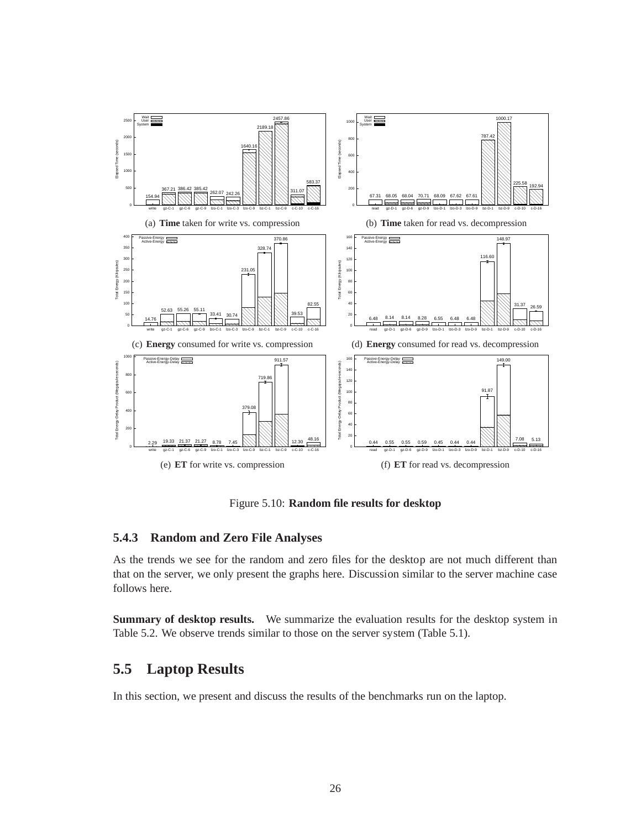

Figure 5.10: **Random file results for desktop**

#### **5.4.3 Random and Zero File Analyses**

As the trends we see for the random and zero files for the desktop are not much different than that on the server, we only present the graphs here. Discussion similar to the server machine case follows here.

**Summary of desktop results.** We summarize the evaluation results for the desktop system in Table 5.2. We observe trends similar to those on the server system (Table 5.1).

#### **5.5 Laptop Results**

In this section, we present and discuss the results of the benchmarks run on the laptop.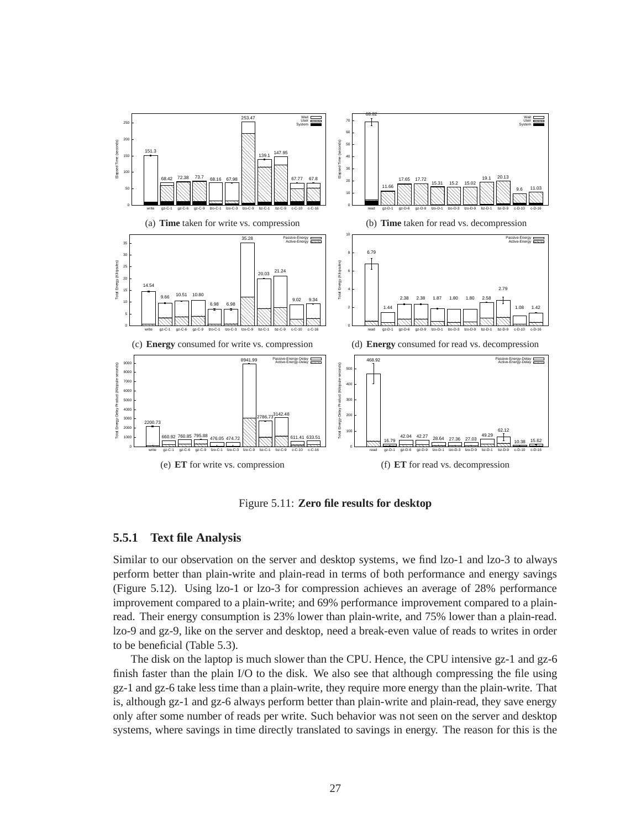

Figure 5.11: **Zero file results for desktop**

#### **5.5.1 Text file Analysis**

Similar to our observation on the server and desktop systems, we find lzo-1 and lzo-3 to always perform better than plain-write and plain-read in terms of both performance and energy savings (Figure 5.12). Using lzo-1 or lzo-3 for compression achieves an average of 28% performance improvement compared to a plain-write; and 69% performance improvement compared to a plainread. Their energy consumption is 23% lower than plain-write, and 75% lower than a plain-read. lzo-9 and gz-9, like on the server and desktop, need a break-even value of reads to writes in order to be beneficial (Table 5.3).

The disk on the laptop is much slower than the CPU. Hence, the CPU intensive gz-1 and gz-6 finish faster than the plain I/O to the disk. We also see that although compressing the file using gz-1 and gz-6 take less time than a plain-write, they require more energy than the plain-write. That is, although gz-1 and gz-6 always perform better than plain-write and plain-read, they save energy only after some number of reads per write. Such behavior was not seen on the server and desktop systems, where savings in time directly translated to savings in energy. The reason for this is the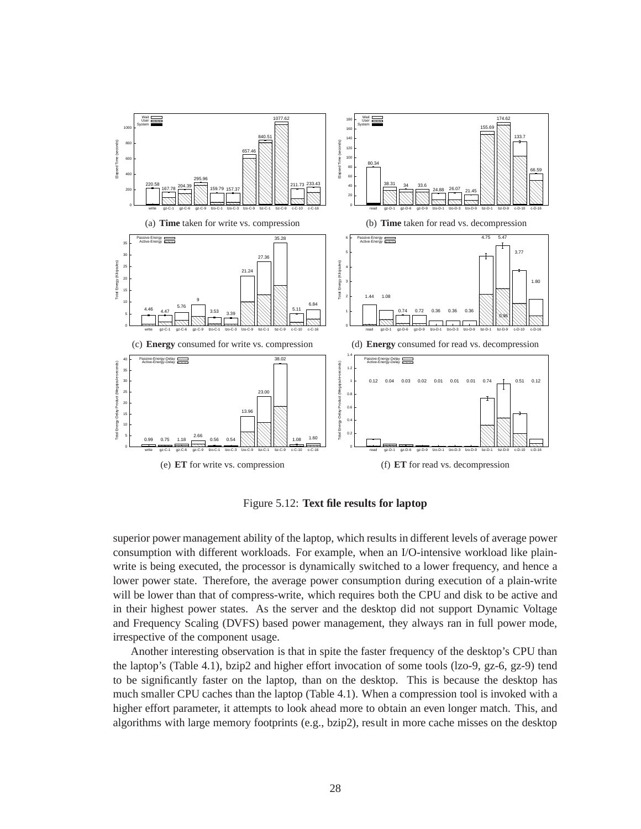

Figure 5.12: **Text file results for laptop**

superior power management ability of the laptop, which results in different levels of average power consumption with different workloads. For example, when an I/O-intensive workload like plainwrite is being executed, the processor is dynamically switched to a lower frequency, and hence a lower power state. Therefore, the average power consumption during execution of a plain-write will be lower than that of compress-write, which requires both the CPU and disk to be active and in their highest power states. As the server and the desktop did not support Dynamic Voltage and Frequency Scaling (DVFS) based power management, they always ran in full power mode, irrespective of the component usage.

Another interesting observation is that in spite the faster frequency of the desktop's CPU than the laptop's (Table 4.1), bzip2 and higher effort invocation of some tools (lzo-9, gz-6, gz-9) tend to be significantly faster on the laptop, than on the desktop. This is because the desktop has much smaller CPU caches than the laptop (Table 4.1). When a compression tool is invoked with a higher effort parameter, it attempts to look ahead more to obtain an even longer match. This, and algorithms with large memory footprints (e.g., bzip2), result in more cache misses on the desktop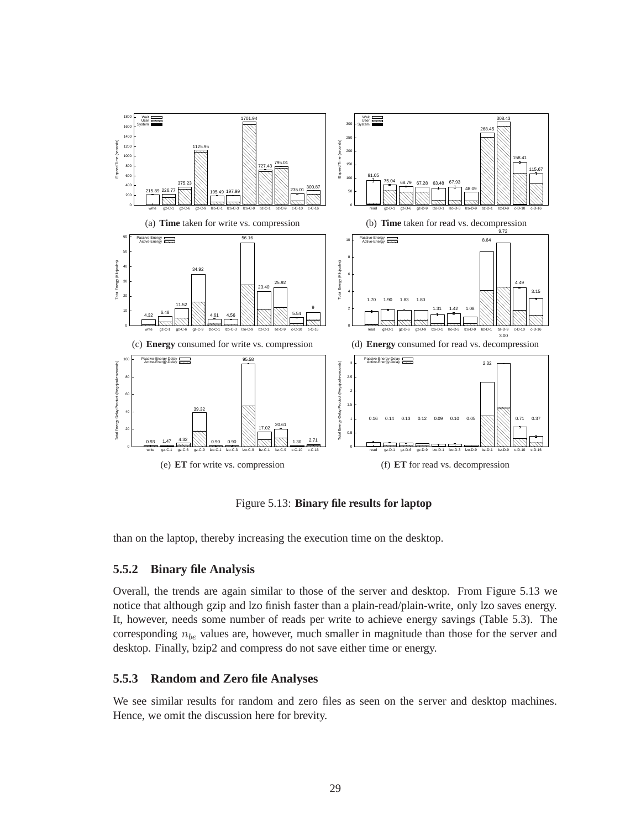

Figure 5.13: **Binary file results for laptop**

than on the laptop, thereby increasing the execution time on the desktop.

#### **5.5.2 Binary file Analysis**

Overall, the trends are again similar to those of the server and desktop. From Figure 5.13 we notice that although gzip and lzo finish faster than a plain-read/plain-write, only lzo saves energy. It, however, needs some number of reads per write to achieve energy savings (Table 5.3). The corresponding  $n_{be}$  values are, however, much smaller in magnitude than those for the server and desktop. Finally, bzip2 and compress do not save either time or energy.

#### **5.5.3 Random and Zero file Analyses**

We see similar results for random and zero files as seen on the server and desktop machines. Hence, we omit the discussion here for brevity.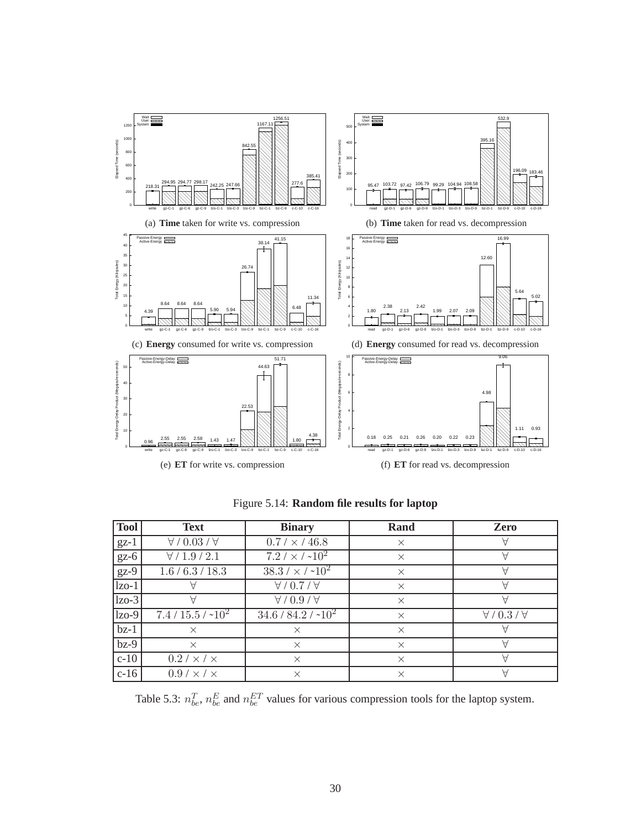

| <b>Tool</b> | <b>Text</b>                  | <b>Binary</b>                 | Rand     | Zero                        |
|-------------|------------------------------|-------------------------------|----------|-----------------------------|
| $gz-1$      | $\forall$ / 0.03 / $\forall$ | $0.7 / \times / 46.8$         | $\times$ | A                           |
| $gz-6$      | $\forall / 1.9 / 2.1$        | $7.2 / \times / \sim 10^2$    | $\times$ | A                           |
| $gz-9$      | 1.6 / 6.3 / 18.3             | $38.3 / \times / \sim 10^2$   | $\times$ | Α                           |
| $1zo-1$     |                              | $\forall$ / 0.7 / $\forall$   | $\times$ | А                           |
| $lzo-3$     | A                            | $A \setminus 0.3 \setminus A$ | $\times$ | $\forall$                   |
| $ z_0-9 $   | $7.4 / 15.5 / -102$          | $34.6 / 84.2 / -102$          | $\times$ | $\forall$ / 0.3 / $\forall$ |
| $bz-1$      | $\times$                     | $\times$                      | $\times$ | Α                           |
| $bz-9$      | $\times$                     | $\times$                      | $\times$ | $\forall$                   |
| $c-10$      | $0.2 / \times / \times$      | $\times$                      | $\times$ | А                           |
| $c-16$      | $0.9 / \times / \times$      | $\times$                      | $\times$ | Α                           |

Figure 5.14: **Random file results for laptop**

Table 5.3:  $n_{be}^T$ ,  $n_{be}^E$  and  $n_{be}^{ET}$  values for various compression tools for the laptop system.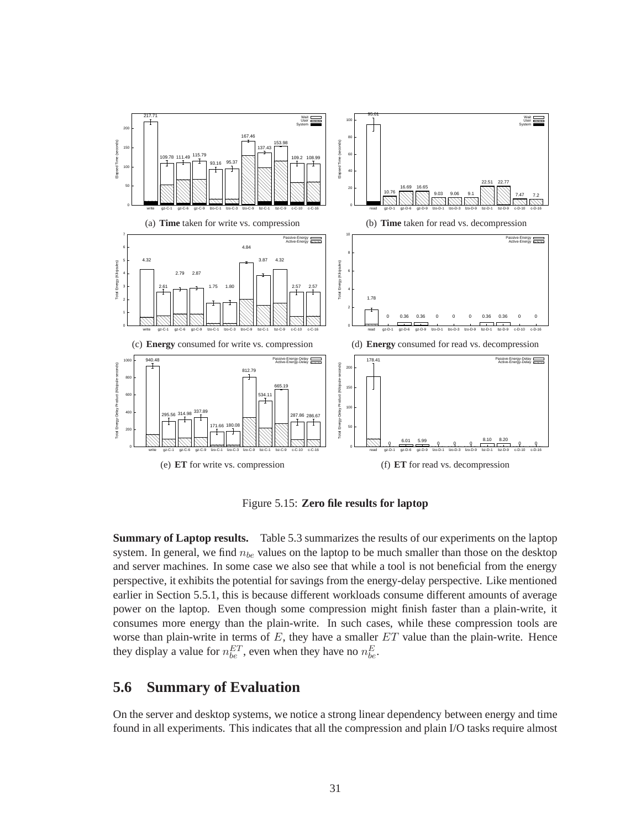

Figure 5.15: **Zero file results for laptop**

**Summary of Laptop results.** Table 5.3 summarizes the results of our experiments on the laptop system. In general, we find  $n_{be}$  values on the laptop to be much smaller than those on the desktop and server machines. In some case we also see that while a tool is not beneficial from the energy perspective, it exhibits the potential for savings from the energy-delay perspective. Like mentioned earlier in Section 5.5.1, this is because different workloads consume different amounts of average power on the laptop. Even though some compression might finish faster than a plain-write, it consumes more energy than the plain-write. In such cases, while these compression tools are worse than plain-write in terms of  $E$ , they have a smaller  $ET$  value than the plain-write. Hence they display a value for  $n_{be}^{ET}$ , even when they have no  $n_{be}^{E}$ .

#### **5.6 Summary of Evaluation**

On the server and desktop systems, we notice a strong linear dependency between energy and time found in all experiments. This indicates that all the compression and plain I/O tasks require almost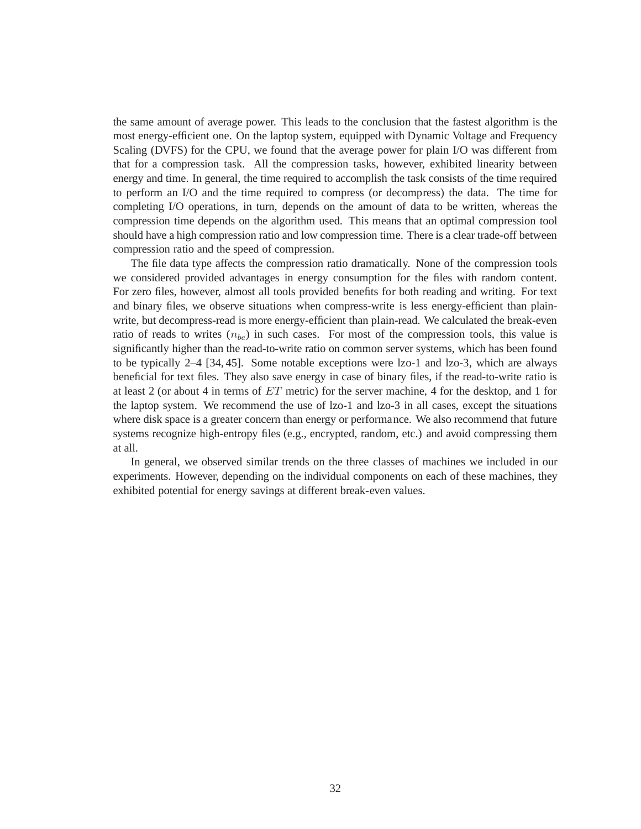the same amount of average power. This leads to the conclusion that the fastest algorithm is the most energy-efficient one. On the laptop system, equipped with Dynamic Voltage and Frequency Scaling (DVFS) for the CPU, we found that the average power for plain I/O was different from that for a compression task. All the compression tasks, however, exhibited linearity between energy and time. In general, the time required to accomplish the task consists of the time required to perform an I/O and the time required to compress (or decompress) the data. The time for completing I/O operations, in turn, depends on the amount of data to be written, whereas the compression time depends on the algorithm used. This means that an optimal compression tool should have a high compression ratio and low compression time. There is a clear trade-off between compression ratio and the speed of compression.

The file data type affects the compression ratio dramatically. None of the compression tools we considered provided advantages in energy consumption for the files with random content. For zero files, however, almost all tools provided benefits for both reading and writing. For text and binary files, we observe situations when compress-write is less energy-efficient than plainwrite, but decompress-read is more energy-efficient than plain-read. We calculated the break-even ratio of reads to writes  $(n_{be})$  in such cases. For most of the compression tools, this value is significantly higher than the read-to-write ratio on common server systems, which has been found to be typically 2–4 [34, 45]. Some notable exceptions were lzo-1 and lzo-3, which are always beneficial for text files. They also save energy in case of binary files, if the read-to-write ratio is at least 2 (or about 4 in terms of ET metric) for the server machine, 4 for the desktop, and 1 for the laptop system. We recommend the use of lzo-1 and lzo-3 in all cases, except the situations where disk space is a greater concern than energy or performance. We also recommend that future systems recognize high-entropy files (e.g., encrypted, random, etc.) and avoid compressing them at all.

In general, we observed similar trends on the three classes of machines we included in our experiments. However, depending on the individual components on each of these machines, they exhibited potential for energy savings at different break-even values.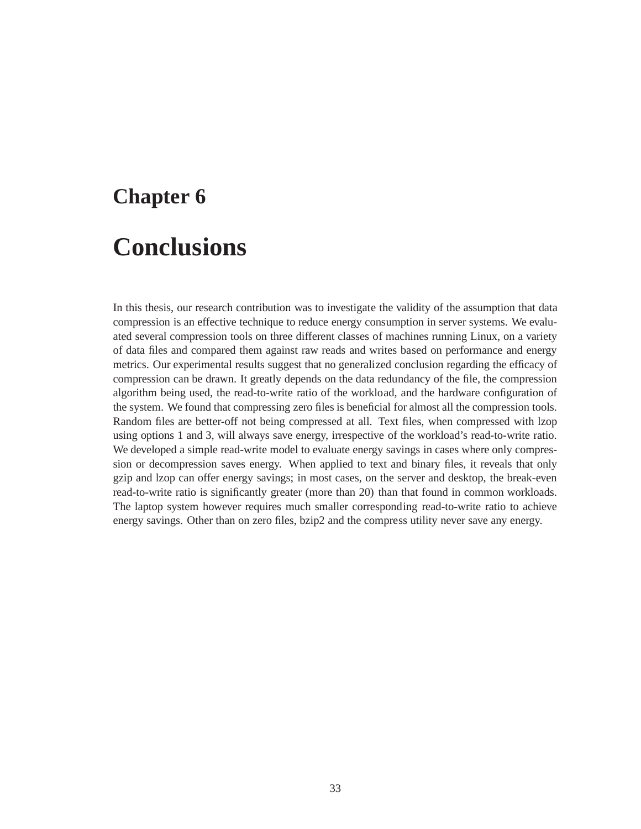# **Chapter 6**

# **Conclusions**

In this thesis, our research contribution was to investigate the validity of the assumption that data compression is an effective technique to reduce energy consumption in server systems. We evaluated several compression tools on three different classes of machines running Linux, on a variety of data files and compared them against raw reads and writes based on performance and energy metrics. Our experimental results suggest that no generalized conclusion regarding the efficacy of compression can be drawn. It greatly depends on the data redundancy of the file, the compression algorithm being used, the read-to-write ratio of the workload, and the hardware configuration of the system. We found that compressing zero files is beneficial for almost all the compression tools. Random files are better-off not being compressed at all. Text files, when compressed with lzop using options 1 and 3, will always save energy, irrespective of the workload's read-to-write ratio. We developed a simple read-write model to evaluate energy savings in cases where only compression or decompression saves energy. When applied to text and binary files, it reveals that only gzip and lzop can offer energy savings; in most cases, on the server and desktop, the break-even read-to-write ratio is significantly greater (more than 20) than that found in common workloads. The laptop system however requires much smaller corresponding read-to-write ratio to achieve energy savings. Other than on zero files, bzip2 and the compress utility never save any energy.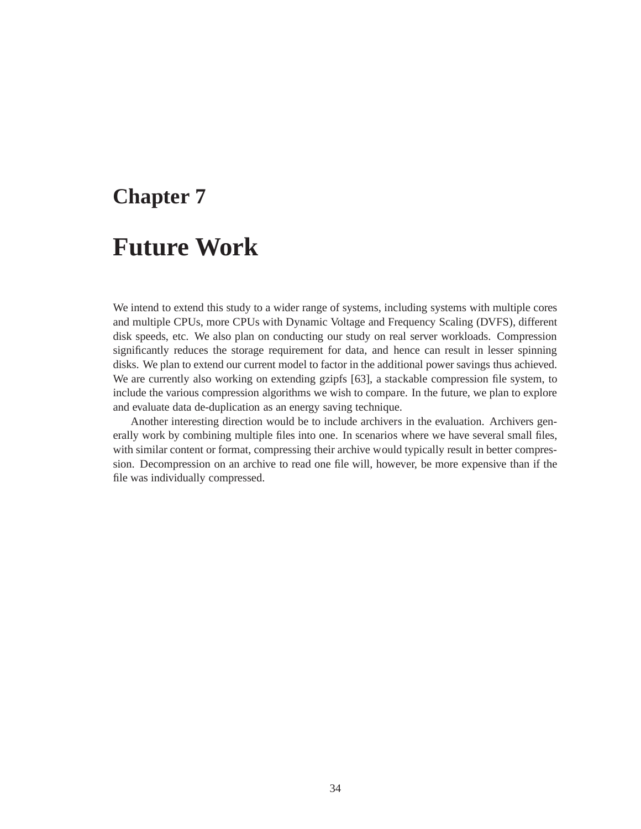### **Chapter 7**

## **Future Work**

We intend to extend this study to a wider range of systems, including systems with multiple cores and multiple CPUs, more CPUs with Dynamic Voltage and Frequency Scaling (DVFS), different disk speeds, etc. We also plan on conducting our study on real server workloads. Compression significantly reduces the storage requirement for data, and hence can result in lesser spinning disks. We plan to extend our current model to factor in the additional power savings thus achieved. We are currently also working on extending gzipfs [63], a stackable compression file system, to include the various compression algorithms we wish to compare. In the future, we plan to explore and evaluate data de-duplication as an energy saving technique.

Another interesting direction would be to include archivers in the evaluation. Archivers generally work by combining multiple files into one. In scenarios where we have several small files, with similar content or format, compressing their archive would typically result in better compression. Decompression on an archive to read one file will, however, be more expensive than if the file was individually compressed.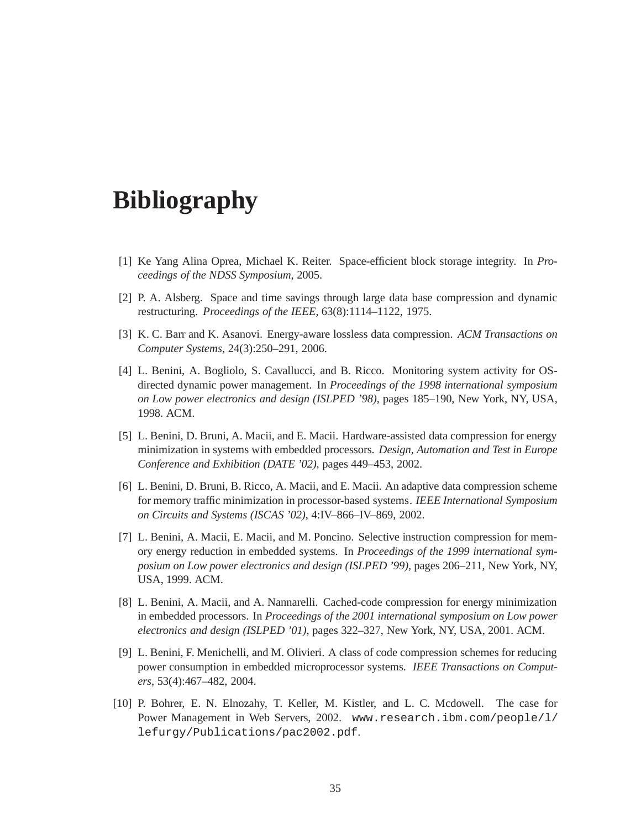# **Bibliography**

- [1] Ke Yang Alina Oprea, Michael K. Reiter. Space-efficient block storage integrity. In *Proceedings of the NDSS Symposium*, 2005.
- [2] P. A. Alsberg. Space and time savings through large data base compression and dynamic restructuring. *Proceedings of the IEEE*, 63(8):1114–1122, 1975.
- [3] K. C. Barr and K. Asanovi. Energy-aware lossless data compression. *ACM Transactions on Computer Systems*, 24(3):250–291, 2006.
- [4] L. Benini, A. Bogliolo, S. Cavallucci, and B. Ricco. Monitoring system activity for OSdirected dynamic power management. In *Proceedings of the 1998 international symposium on Low power electronics and design (ISLPED '98)*, pages 185–190, New York, NY, USA, 1998. ACM.
- [5] L. Benini, D. Bruni, A. Macii, and E. Macii. Hardware-assisted data compression for energy minimization in systems with embedded processors. *Design, Automation and Test in Europe Conference and Exhibition (DATE '02)*, pages 449–453, 2002.
- [6] L. Benini, D. Bruni, B. Ricco, A. Macii, and E. Macii. An adaptive data compression scheme for memory traffic minimization in processor-based systems. *IEEE International Symposium on Circuits and Systems (ISCAS '02)*, 4:IV–866–IV–869, 2002.
- [7] L. Benini, A. Macii, E. Macii, and M. Poncino. Selective instruction compression for memory energy reduction in embedded systems. In *Proceedings of the 1999 international symposium on Low power electronics and design (ISLPED '99)*, pages 206–211, New York, NY, USA, 1999. ACM.
- [8] L. Benini, A. Macii, and A. Nannarelli. Cached-code compression for energy minimization in embedded processors. In *Proceedings of the 2001 international symposium on Low power electronics and design (ISLPED '01)*, pages 322–327, New York, NY, USA, 2001. ACM.
- [9] L. Benini, F. Menichelli, and M. Olivieri. A class of code compression schemes for reducing power consumption in embedded microprocessor systems. *IEEE Transactions on Computers*, 53(4):467–482, 2004.
- [10] P. Bohrer, E. N. Elnozahy, T. Keller, M. Kistler, and L. C. Mcdowell. The case for Power Management in Web Servers, 2002. www.research.ibm.com/people/l/ lefurgy/Publications/pac2002.pdf.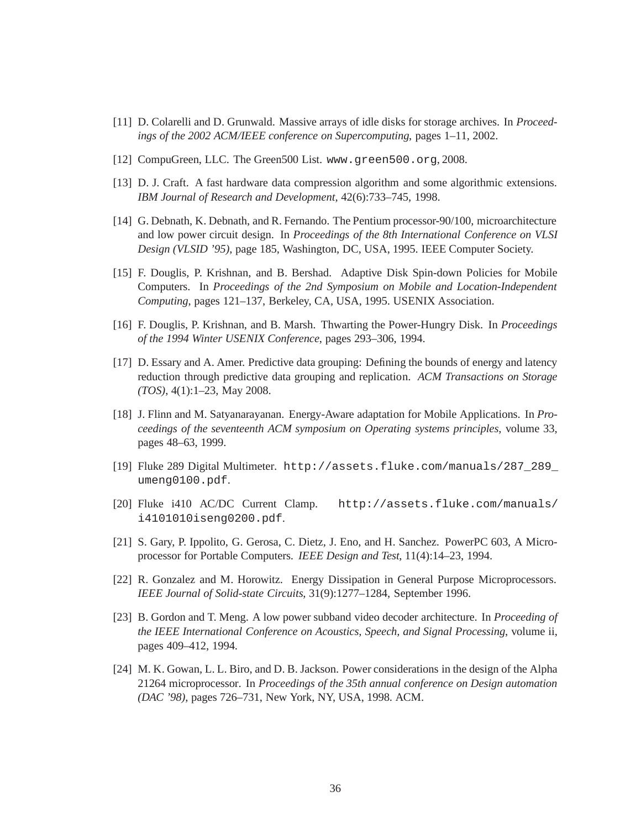- [11] D. Colarelli and D. Grunwald. Massive arrays of idle disks for storage archives. In *Proceedings of the 2002 ACM/IEEE conference on Supercomputing*, pages 1–11, 2002.
- [12] CompuGreen, LLC. The Green500 List. www.green500.org, 2008.
- [13] D. J. Craft. A fast hardware data compression algorithm and some algorithmic extensions. *IBM Journal of Research and Development*, 42(6):733–745, 1998.
- [14] G. Debnath, K. Debnath, and R. Fernando. The Pentium processor-90/100, microarchitecture and low power circuit design. In *Proceedings of the 8th International Conference on VLSI Design (VLSID '95)*, page 185, Washington, DC, USA, 1995. IEEE Computer Society.
- [15] F. Douglis, P. Krishnan, and B. Bershad. Adaptive Disk Spin-down Policies for Mobile Computers. In *Proceedings of the 2nd Symposium on Mobile and Location-Independent Computing*, pages 121–137, Berkeley, CA, USA, 1995. USENIX Association.
- [16] F. Douglis, P. Krishnan, and B. Marsh. Thwarting the Power-Hungry Disk. In *Proceedings of the 1994 Winter USENIX Conference*, pages 293–306, 1994.
- [17] D. Essary and A. Amer. Predictive data grouping: Defining the bounds of energy and latency reduction through predictive data grouping and replication. *ACM Transactions on Storage (TOS)*, 4(1):1–23, May 2008.
- [18] J. Flinn and M. Satyanarayanan. Energy-Aware adaptation for Mobile Applications. In *Proceedings of the seventeenth ACM symposium on Operating systems principles*, volume 33, pages 48–63, 1999.
- [19] Fluke 289 Digital Multimeter. http://assets.fluke.com/manuals/287\_289\_ umeng0100.pdf.
- [20] Fluke i410 AC/DC Current Clamp. http://assets.fluke.com/manuals/ i4101010iseng0200.pdf.
- [21] S. Gary, P. Ippolito, G. Gerosa, C. Dietz, J. Eno, and H. Sanchez. PowerPC 603, A Microprocessor for Portable Computers. *IEEE Design and Test*, 11(4):14–23, 1994.
- [22] R. Gonzalez and M. Horowitz. Energy Dissipation in General Purpose Microprocessors. *IEEE Journal of Solid-state Circuits*, 31(9):1277–1284, September 1996.
- [23] B. Gordon and T. Meng. A low power subband video decoder architecture. In *Proceeding of the IEEE International Conference on Acoustics, Speech, and Signal Processing*, volume ii, pages 409–412, 1994.
- [24] M. K. Gowan, L. L. Biro, and D. B. Jackson. Power considerations in the design of the Alpha 21264 microprocessor. In *Proceedings of the 35th annual conference on Design automation (DAC '98)*, pages 726–731, New York, NY, USA, 1998. ACM.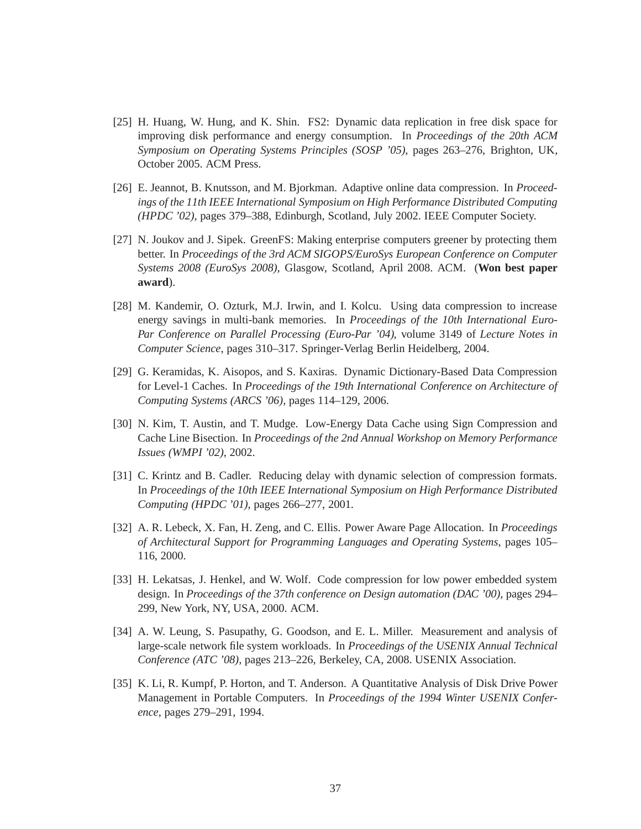- [25] H. Huang, W. Hung, and K. Shin. FS2: Dynamic data replication in free disk space for improving disk performance and energy consumption. In *Proceedings of the 20th ACM Symposium on Operating Systems Principles (SOSP '05)*, pages 263–276, Brighton, UK, October 2005. ACM Press.
- [26] E. Jeannot, B. Knutsson, and M. Bjorkman. Adaptive online data compression. In *Proceedings of the 11th IEEE International Symposium on High Performance Distributed Computing (HPDC '02)*, pages 379–388, Edinburgh, Scotland, July 2002. IEEE Computer Society.
- [27] N. Joukov and J. Sipek. GreenFS: Making enterprise computers greener by protecting them better. In *Proceedings of the 3rd ACM SIGOPS/EuroSys European Conference on Computer Systems 2008 (EuroSys 2008)*, Glasgow, Scotland, April 2008. ACM. (**Won best paper award**).
- [28] M. Kandemir, O. Ozturk, M.J. Irwin, and I. Kolcu. Using data compression to increase energy savings in multi-bank memories. In *Proceedings of the 10th International Euro-Par Conference on Parallel Processing (Euro-Par '04)*, volume 3149 of *Lecture Notes in Computer Science*, pages 310–317. Springer-Verlag Berlin Heidelberg, 2004.
- [29] G. Keramidas, K. Aisopos, and S. Kaxiras. Dynamic Dictionary-Based Data Compression for Level-1 Caches. In *Proceedings of the 19th International Conference on Architecture of Computing Systems (ARCS '06)*, pages 114–129, 2006.
- [30] N. Kim, T. Austin, and T. Mudge. Low-Energy Data Cache using Sign Compression and Cache Line Bisection. In *Proceedings of the 2nd Annual Workshop on Memory Performance Issues (WMPI '02)*, 2002.
- [31] C. Krintz and B. Cadler. Reducing delay with dynamic selection of compression formats. In *Proceedings of the 10th IEEE International Symposium on High Performance Distributed Computing (HPDC '01)*, pages 266–277, 2001.
- [32] A. R. Lebeck, X. Fan, H. Zeng, and C. Ellis. Power Aware Page Allocation. In *Proceedings of Architectural Support for Programming Languages and Operating Systems*, pages 105– 116, 2000.
- [33] H. Lekatsas, J. Henkel, and W. Wolf. Code compression for low power embedded system design. In *Proceedings of the 37th conference on Design automation (DAC '00)*, pages 294– 299, New York, NY, USA, 2000. ACM.
- [34] A. W. Leung, S. Pasupathy, G. Goodson, and E. L. Miller. Measurement and analysis of large-scale network file system workloads. In *Proceedings of the USENIX Annual Technical Conference (ATC '08)*, pages 213–226, Berkeley, CA, 2008. USENIX Association.
- [35] K. Li, R. Kumpf, P. Horton, and T. Anderson. A Quantitative Analysis of Disk Drive Power Management in Portable Computers. In *Proceedings of the 1994 Winter USENIX Conference*, pages 279–291, 1994.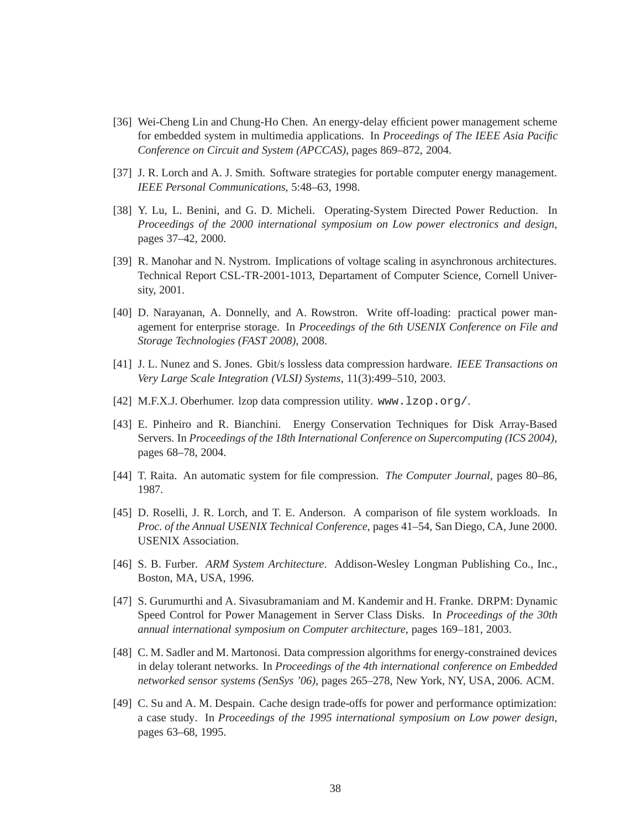- [36] Wei-Cheng Lin and Chung-Ho Chen. An energy-delay efficient power management scheme for embedded system in multimedia applications. In *Proceedings of The IEEE Asia Pacific Conference on Circuit and System (APCCAS)*, pages 869–872, 2004.
- [37] J. R. Lorch and A. J. Smith. Software strategies for portable computer energy management. *IEEE Personal Communications*, 5:48–63, 1998.
- [38] Y. Lu, L. Benini, and G. D. Micheli. Operating-System Directed Power Reduction. In *Proceedings of the 2000 international symposium on Low power electronics and design*, pages 37–42, 2000.
- [39] R. Manohar and N. Nystrom. Implications of voltage scaling in asynchronous architectures. Technical Report CSL-TR-2001-1013, Departament of Computer Science, Cornell University, 2001.
- [40] D. Narayanan, A. Donnelly, and A. Rowstron. Write off-loading: practical power management for enterprise storage. In *Proceedings of the 6th USENIX Conference on File and Storage Technologies (FAST 2008)*, 2008.
- [41] J. L. Nunez and S. Jones. Gbit/s lossless data compression hardware. *IEEE Transactions on Very Large Scale Integration (VLSI) Systems*, 11(3):499–510, 2003.
- [42] M.F.X.J. Oberhumer. Izop data compression utility. www.lzop.org/.
- [43] E. Pinheiro and R. Bianchini. Energy Conservation Techniques for Disk Array-Based Servers. In *Proceedings of the 18th International Conference on Supercomputing (ICS 2004)*, pages 68–78, 2004.
- [44] T. Raita. An automatic system for file compression. *The Computer Journal*, pages 80–86, 1987.
- [45] D. Roselli, J. R. Lorch, and T. E. Anderson. A comparison of file system workloads. In *Proc. of the Annual USENIX Technical Conference*, pages 41–54, San Diego, CA, June 2000. USENIX Association.
- [46] S. B. Furber. *ARM System Architecture*. Addison-Wesley Longman Publishing Co., Inc., Boston, MA, USA, 1996.
- [47] S. Gurumurthi and A. Sivasubramaniam and M. Kandemir and H. Franke. DRPM: Dynamic Speed Control for Power Management in Server Class Disks. In *Proceedings of the 30th annual international symposium on Computer architecture*, pages 169–181, 2003.
- [48] C. M. Sadler and M. Martonosi. Data compression algorithms for energy-constrained devices in delay tolerant networks. In *Proceedings of the 4th international conference on Embedded networked sensor systems (SenSys '06)*, pages 265–278, New York, NY, USA, 2006. ACM.
- [49] C. Su and A. M. Despain. Cache design trade-offs for power and performance optimization: a case study. In *Proceedings of the 1995 international symposium on Low power design*, pages 63–68, 1995.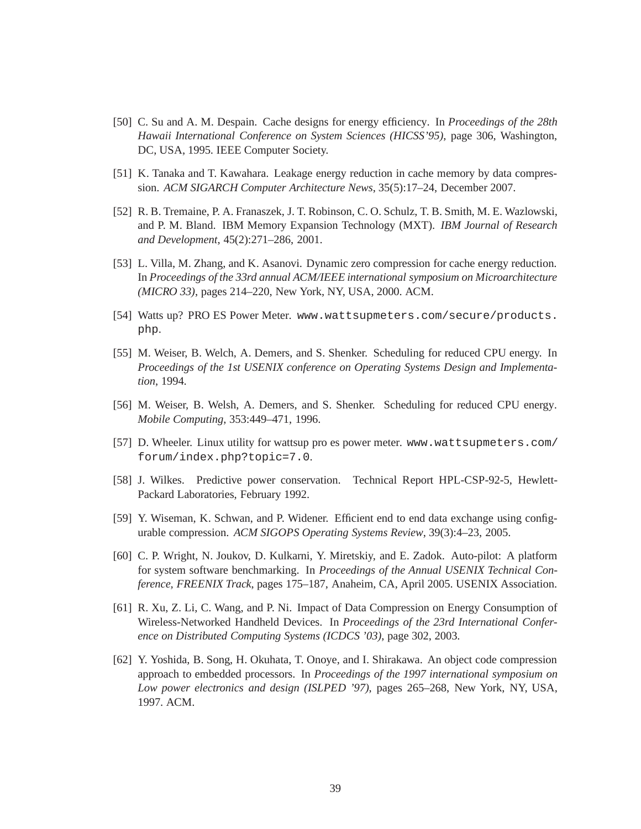- [50] C. Su and A. M. Despain. Cache designs for energy efficiency. In *Proceedings of the 28th Hawaii International Conference on System Sciences (HICSS'95)*, page 306, Washington, DC, USA, 1995. IEEE Computer Society.
- [51] K. Tanaka and T. Kawahara. Leakage energy reduction in cache memory by data compression. *ACM SIGARCH Computer Architecture News*, 35(5):17–24, December 2007.
- [52] R. B. Tremaine, P. A. Franaszek, J. T. Robinson, C. O. Schulz, T. B. Smith, M. E. Wazlowski, and P. M. Bland. IBM Memory Expansion Technology (MXT). *IBM Journal of Research and Development*, 45(2):271–286, 2001.
- [53] L. Villa, M. Zhang, and K. Asanovi. Dynamic zero compression for cache energy reduction. In *Proceedings of the 33rd annual ACM/IEEE international symposium on Microarchitecture (MICRO 33)*, pages 214–220, New York, NY, USA, 2000. ACM.
- [54] Watts up? PRO ES Power Meter. www.wattsupmeters.com/secure/products. php.
- [55] M. Weiser, B. Welch, A. Demers, and S. Shenker. Scheduling for reduced CPU energy. In *Proceedings of the 1st USENIX conference on Operating Systems Design and Implementation*, 1994.
- [56] M. Weiser, B. Welsh, A. Demers, and S. Shenker. Scheduling for reduced CPU energy. *Mobile Computing*, 353:449–471, 1996.
- [57] D. Wheeler. Linux utility for wattsup pro es power meter. www.wattsupmeters.com/ forum/index.php?topic=7.0.
- [58] J. Wilkes. Predictive power conservation. Technical Report HPL-CSP-92-5, Hewlett-Packard Laboratories, February 1992.
- [59] Y. Wiseman, K. Schwan, and P. Widener. Efficient end to end data exchange using configurable compression. *ACM SIGOPS Operating Systems Review*, 39(3):4–23, 2005.
- [60] C. P. Wright, N. Joukov, D. Kulkarni, Y. Miretskiy, and E. Zadok. Auto-pilot: A platform for system software benchmarking. In *Proceedings of the Annual USENIX Technical Conference, FREENIX Track*, pages 175–187, Anaheim, CA, April 2005. USENIX Association.
- [61] R. Xu, Z. Li, C. Wang, and P. Ni. Impact of Data Compression on Energy Consumption of Wireless-Networked Handheld Devices. In *Proceedings of the 23rd International Conference on Distributed Computing Systems (ICDCS '03)*, page 302, 2003.
- [62] Y. Yoshida, B. Song, H. Okuhata, T. Onoye, and I. Shirakawa. An object code compression approach to embedded processors. In *Proceedings of the 1997 international symposium on Low power electronics and design (ISLPED '97)*, pages 265–268, New York, NY, USA, 1997. ACM.